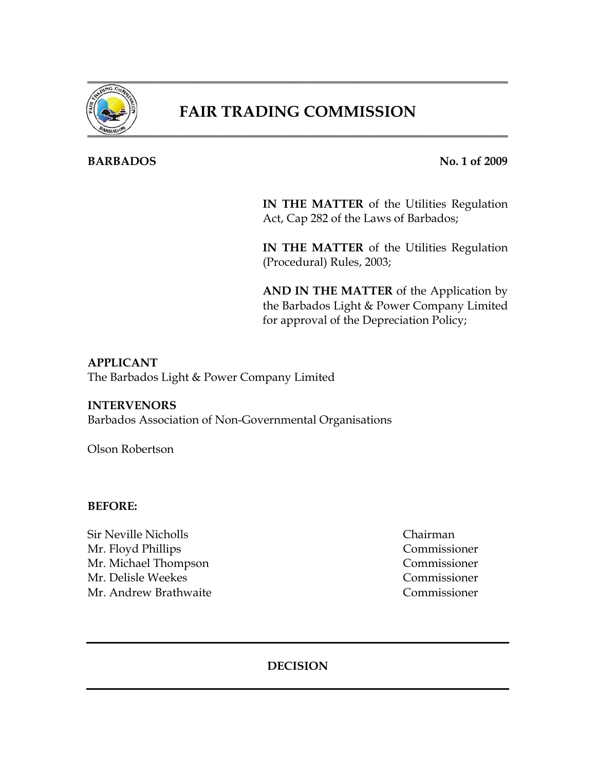

## **FAIR TRADING COMMISSION**

#### **BARBADOS** No. 1 of 2009

**IN THE MATTER** of the Utilities Regulation Act, Cap 282 of the Laws of Barbados;

**IN THE MATTER** of the Utilities Regulation (Procedural) Rules, 2003;

**AND IN THE MATTER** of the Application by the Barbados Light & Power Company Limited for approval of the Depreciation Policy;

#### **APPLICANT**

The Barbados Light & Power Company Limited

#### **INTERVENORS**

Barbados Association of Non-Governmental Organisations

Olson Robertson

#### **BEFORE:**

Sir Neville Nicholls Chairman Mr. Floyd Phillips Commissioner Mr. Michael Thompson Commissioner Mr. Delisle Weekes Commissioner Mr. Andrew Brathwaite Commissioner

#### **DECISION**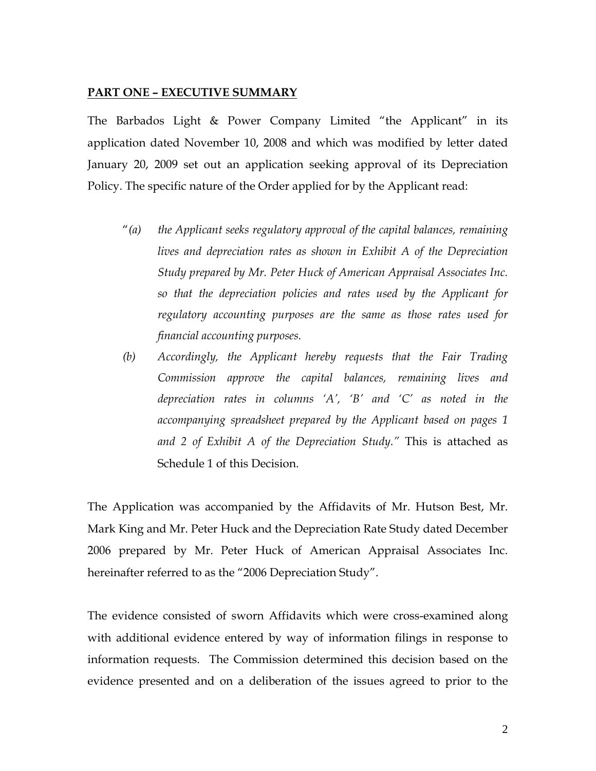#### **PART ONE – EXECUTIVE SUMMARY**

The Barbados Light & Power Company Limited "the Applicant" in its application dated November 10, 2008 and which was modified by letter dated January 20, 2009 set out an application seeking approval of its Depreciation Policy. The specific nature of the Order applied for by the Applicant read:

- "*(a) the Applicant seeks regulatory approval of the capital balances, remaining lives and depreciation rates as shown in Exhibit A of the Depreciation Study prepared by Mr. Peter Huck of American Appraisal Associates Inc. so that the depreciation policies and rates used by the Applicant for regulatory accounting purposes are the same as those rates used for financial accounting purposes.*
- *(b) Accordingly, the Applicant hereby requests that the Fair Trading Commission approve the capital balances, remaining lives and depreciation rates in columns 'A', 'B' and 'C' as noted in the accompanying spreadsheet prepared by the Applicant based on pages 1 and 2 of Exhibit A of the Depreciation Study."* This is attached as Schedule 1 of this Decision.

The Application was accompanied by the Affidavits of Mr. Hutson Best, Mr. Mark King and Mr. Peter Huck and the Depreciation Rate Study dated December 2006 prepared by Mr. Peter Huck of American Appraisal Associates Inc. hereinafter referred to as the "2006 Depreciation Study".

The evidence consisted of sworn Affidavits which were cross-examined along with additional evidence entered by way of information filings in response to information requests. The Commission determined this decision based on the evidence presented and on a deliberation of the issues agreed to prior to the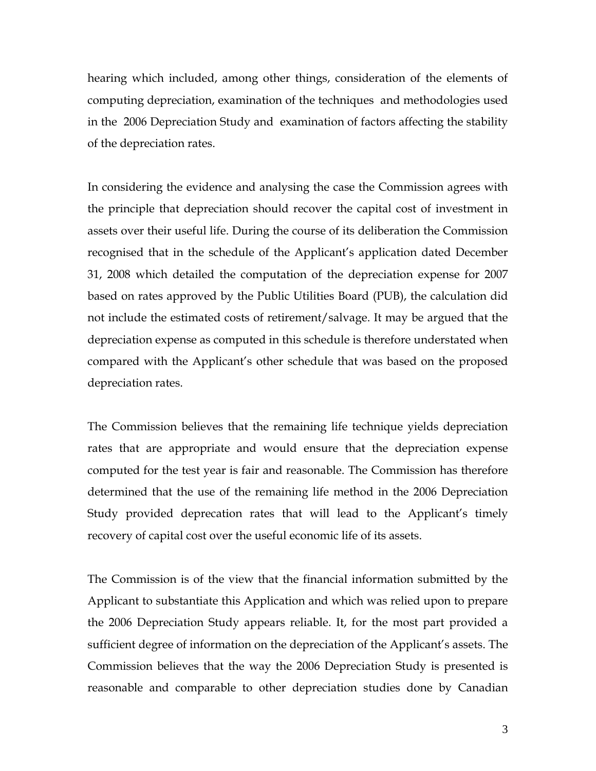hearing which included, among other things, consideration of the elements of computing depreciation, examination of the techniques and methodologies used in the 2006 Depreciation Study and examination of factors affecting the stability of the depreciation rates.

In considering the evidence and analysing the case the Commission agrees with the principle that depreciation should recover the capital cost of investment in assets over their useful life. During the course of its deliberation the Commission recognised that in the schedule of the Applicant's application dated December 31, 2008 which detailed the computation of the depreciation expense for 2007 based on rates approved by the Public Utilities Board (PUB), the calculation did not include the estimated costs of retirement/salvage. It may be argued that the depreciation expense as computed in this schedule is therefore understated when compared with the Applicant's other schedule that was based on the proposed depreciation rates.

The Commission believes that the remaining life technique yields depreciation rates that are appropriate and would ensure that the depreciation expense computed for the test year is fair and reasonable. The Commission has therefore determined that the use of the remaining life method in the 2006 Depreciation Study provided deprecation rates that will lead to the Applicant's timely recovery of capital cost over the useful economic life of its assets.

The Commission is of the view that the financial information submitted by the Applicant to substantiate this Application and which was relied upon to prepare the 2006 Depreciation Study appears reliable. It, for the most part provided a sufficient degree of information on the depreciation of the Applicant's assets. The Commission believes that the way the 2006 Depreciation Study is presented is reasonable and comparable to other depreciation studies done by Canadian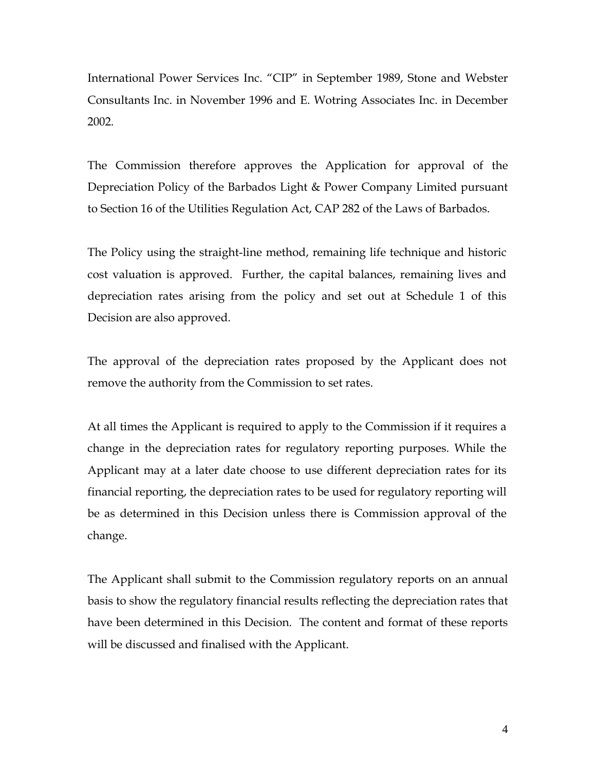International Power Services Inc. "CIP" in September 1989, Stone and Webster Consultants Inc. in November 1996 and E. Wotring Associates Inc. in December 2002.

The Commission therefore approves the Application for approval of the Depreciation Policy of the Barbados Light & Power Company Limited pursuant to Section 16 of the Utilities Regulation Act, CAP 282 of the Laws of Barbados.

The Policy using the straight-line method, remaining life technique and historic cost valuation is approved. Further, the capital balances, remaining lives and depreciation rates arising from the policy and set out at Schedule 1 of this Decision are also approved.

The approval of the depreciation rates proposed by the Applicant does not remove the authority from the Commission to set rates.

At all times the Applicant is required to apply to the Commission if it requires a change in the depreciation rates for regulatory reporting purposes. While the Applicant may at a later date choose to use different depreciation rates for its financial reporting, the depreciation rates to be used for regulatory reporting will be as determined in this Decision unless there is Commission approval of the change.

The Applicant shall submit to the Commission regulatory reports on an annual basis to show the regulatory financial results reflecting the depreciation rates that have been determined in this Decision. The content and format of these reports will be discussed and finalised with the Applicant.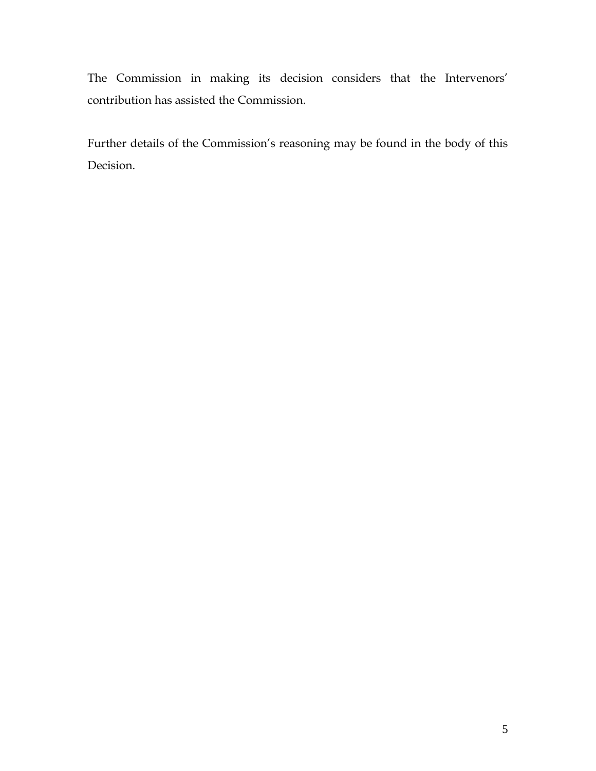The Commission in making its decision considers that the Intervenors' contribution has assisted the Commission.

Further details of the Commission's reasoning may be found in the body of this Decision.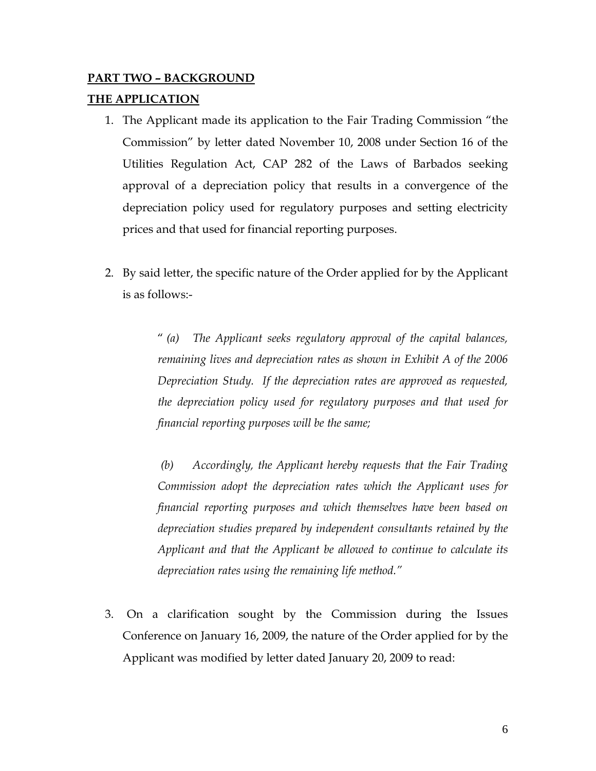# **PART TWO – BACKGROUND**

### **THE APPLICATION**

- 1. The Applicant made its application to the Fair Trading Commission "the Commission" by letter dated November 10, 2008 under Section 16 of the Utilities Regulation Act, CAP 282 of the Laws of Barbados seeking approval of a depreciation policy that results in a convergence of the depreciation policy used for regulatory purposes and setting electricity prices and that used for financial reporting purposes.
- 2. By said letter, the specific nature of the Order applied for by the Applicant is as follows:-

" *(a) The Applicant seeks regulatory approval of the capital balances, remaining lives and depreciation rates as shown in Exhibit A of the 2006 Depreciation Study. If the depreciation rates are approved as requested, the depreciation policy used for regulatory purposes and that used for financial reporting purposes will be the same;* 

 *(b) Accordingly, the Applicant hereby requests that the Fair Trading Commission adopt the depreciation rates which the Applicant uses for financial reporting purposes and which themselves have been based on depreciation studies prepared by independent consultants retained by the Applicant and that the Applicant be allowed to continue to calculate its depreciation rates using the remaining life method."* 

3. On a clarification sought by the Commission during the Issues Conference on January 16, 2009, the nature of the Order applied for by the Applicant was modified by letter dated January 20, 2009 to read: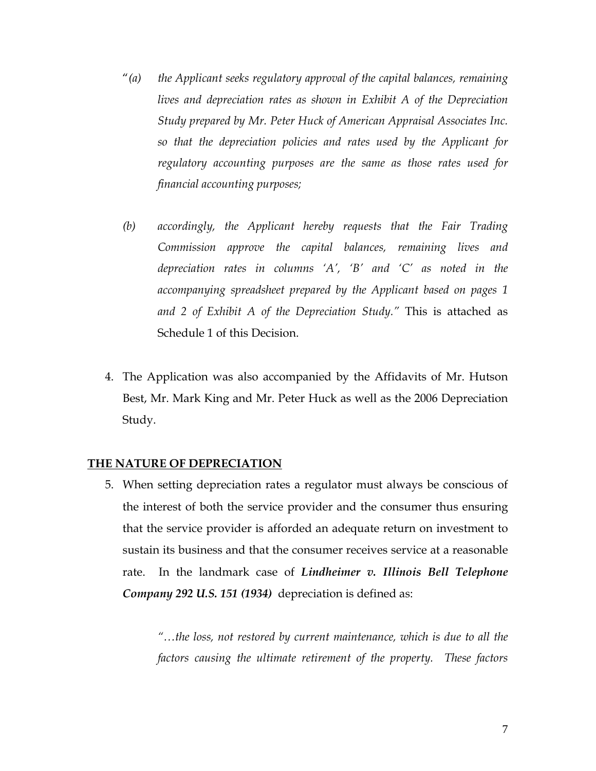- "*(a) the Applicant seeks regulatory approval of the capital balances, remaining lives and depreciation rates as shown in Exhibit A of the Depreciation Study prepared by Mr. Peter Huck of American Appraisal Associates Inc. so that the depreciation policies and rates used by the Applicant for regulatory accounting purposes are the same as those rates used for financial accounting purposes;*
- *(b) accordingly, the Applicant hereby requests that the Fair Trading Commission approve the capital balances, remaining lives and depreciation rates in columns 'A', 'B' and 'C' as noted in the accompanying spreadsheet prepared by the Applicant based on pages 1 and 2 of Exhibit A of the Depreciation Study."* This is attached as Schedule 1 of this Decision.
- 4. The Application was also accompanied by the Affidavits of Mr. Hutson Best, Mr. Mark King and Mr. Peter Huck as well as the 2006 Depreciation Study.

#### **THE NATURE OF DEPRECIATION**

5. When setting depreciation rates a regulator must always be conscious of the interest of both the service provider and the consumer thus ensuring that the service provider is afforded an adequate return on investment to sustain its business and that the consumer receives service at a reasonable rate. In the landmark case of *Lindheimer v. Illinois Bell Telephone Company 292 U.S. 151 (1934)* depreciation is defined as:

> *"…the loss, not restored by current maintenance, which is due to all the factors causing the ultimate retirement of the property. These factors*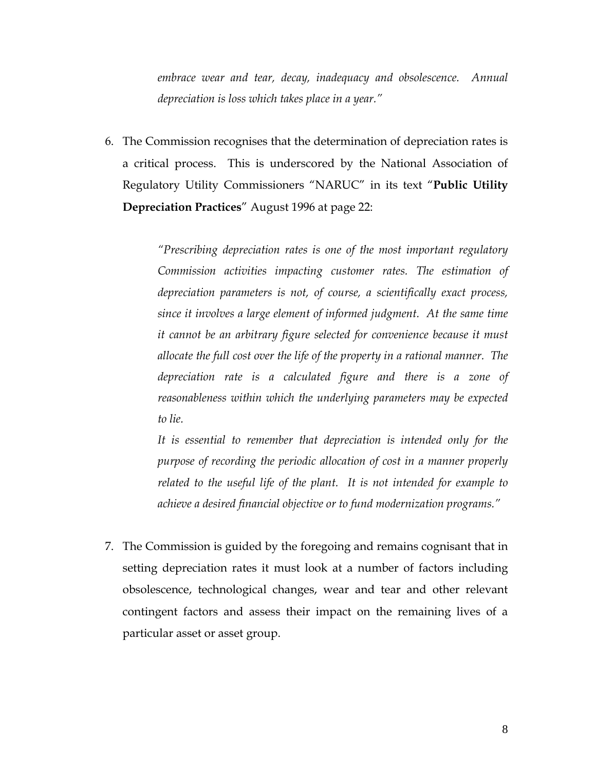*embrace wear and tear, decay, inadequacy and obsolescence. Annual depreciation is loss which takes place in a year."* 

6. The Commission recognises that the determination of depreciation rates is a critical process. This is underscored by the National Association of Regulatory Utility Commissioners "NARUC" in its text "**Public Utility Depreciation Practices**" August 1996 at page 22:

> *"Prescribing depreciation rates is one of the most important regulatory Commission activities impacting customer rates. The estimation of depreciation parameters is not, of course, a scientifically exact process, since it involves a large element of informed judgment. At the same time it cannot be an arbitrary figure selected for convenience because it must allocate the full cost over the life of the property in a rational manner. The depreciation rate is a calculated figure and there is a zone of reasonableness within which the underlying parameters may be expected to lie.*

> *It is essential to remember that depreciation is intended only for the purpose of recording the periodic allocation of cost in a manner properly related to the useful life of the plant. It is not intended for example to achieve a desired financial objective or to fund modernization programs."*

7. The Commission is guided by the foregoing and remains cognisant that in setting depreciation rates it must look at a number of factors including obsolescence, technological changes, wear and tear and other relevant contingent factors and assess their impact on the remaining lives of a particular asset or asset group.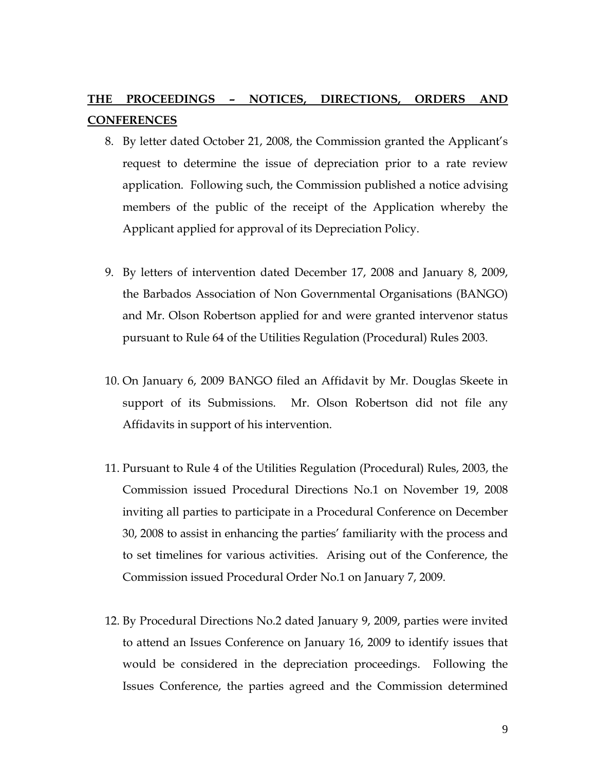### **THE PROCEEDINGS – NOTICES, DIRECTIONS, ORDERS AND CONFERENCES**

- 8. By letter dated October 21, 2008, the Commission granted the Applicant's request to determine the issue of depreciation prior to a rate review application. Following such, the Commission published a notice advising members of the public of the receipt of the Application whereby the Applicant applied for approval of its Depreciation Policy.
- 9. By letters of intervention dated December 17, 2008 and January 8, 2009, the Barbados Association of Non Governmental Organisations (BANGO) and Mr. Olson Robertson applied for and were granted intervenor status pursuant to Rule 64 of the Utilities Regulation (Procedural) Rules 2003.
- 10. On January 6, 2009 BANGO filed an Affidavit by Mr. Douglas Skeete in support of its Submissions. Mr. Olson Robertson did not file any Affidavits in support of his intervention.
- 11. Pursuant to Rule 4 of the Utilities Regulation (Procedural) Rules, 2003, the Commission issued Procedural Directions No.1 on November 19, 2008 inviting all parties to participate in a Procedural Conference on December 30, 2008 to assist in enhancing the parties' familiarity with the process and to set timelines for various activities. Arising out of the Conference, the Commission issued Procedural Order No.1 on January 7, 2009.
- 12. By Procedural Directions No.2 dated January 9, 2009, parties were invited to attend an Issues Conference on January 16, 2009 to identify issues that would be considered in the depreciation proceedings. Following the Issues Conference, the parties agreed and the Commission determined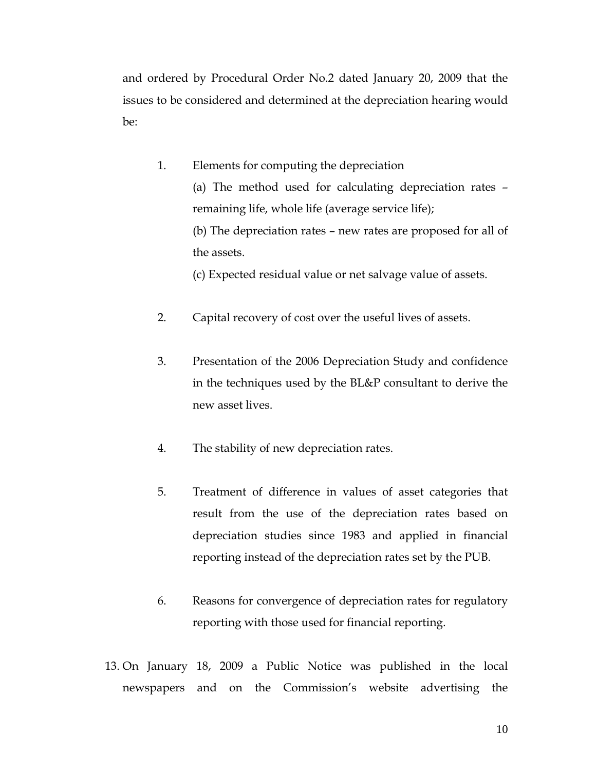and ordered by Procedural Order No.2 dated January 20, 2009 that the issues to be considered and determined at the depreciation hearing would be:

1. Elements for computing the depreciation (a) The method used for calculating depreciation rates – remaining life, whole life (average service life); (b) The depreciation rates – new rates are proposed for all of the assets.

(c) Expected residual value or net salvage value of assets.

- 2. Capital recovery of cost over the useful lives of assets.
- 3. Presentation of the 2006 Depreciation Study and confidence in the techniques used by the BL&P consultant to derive the new asset lives.
- 4. The stability of new depreciation rates.
- 5. Treatment of difference in values of asset categories that result from the use of the depreciation rates based on depreciation studies since 1983 and applied in financial reporting instead of the depreciation rates set by the PUB.
- 6. Reasons for convergence of depreciation rates for regulatory reporting with those used for financial reporting.
- 13. On January 18, 2009 a Public Notice was published in the local newspapers and on the Commission's website advertising the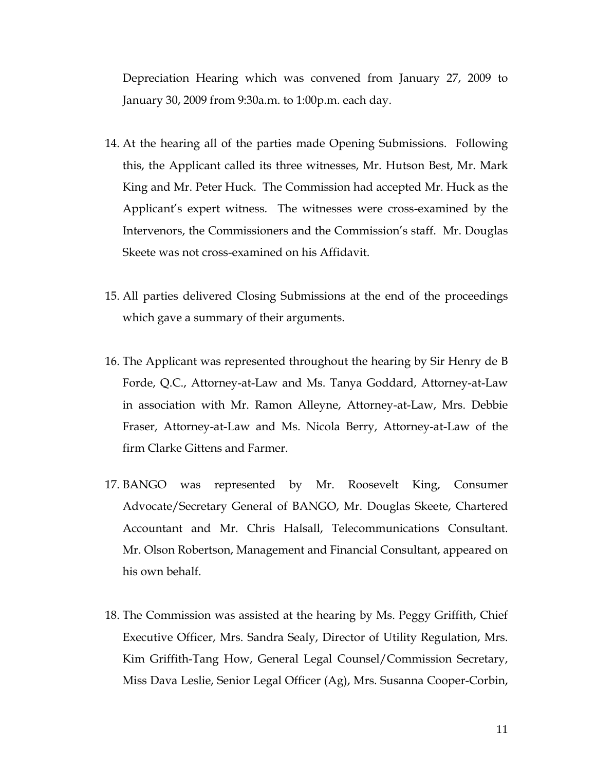Depreciation Hearing which was convened from January 27, 2009 to January 30, 2009 from 9:30a.m. to 1:00p.m. each day.

- 14. At the hearing all of the parties made Opening Submissions. Following this, the Applicant called its three witnesses, Mr. Hutson Best, Mr. Mark King and Mr. Peter Huck. The Commission had accepted Mr. Huck as the Applicant's expert witness. The witnesses were cross-examined by the Intervenors, the Commissioners and the Commission's staff. Mr. Douglas Skeete was not cross-examined on his Affidavit.
- 15. All parties delivered Closing Submissions at the end of the proceedings which gave a summary of their arguments.
- 16. The Applicant was represented throughout the hearing by Sir Henry de B Forde, Q.C., Attorney-at-Law and Ms. Tanya Goddard, Attorney-at-Law in association with Mr. Ramon Alleyne, Attorney-at-Law, Mrs. Debbie Fraser, Attorney-at-Law and Ms. Nicola Berry, Attorney-at-Law of the firm Clarke Gittens and Farmer.
- 17. BANGO was represented by Mr. Roosevelt King, Consumer Advocate/Secretary General of BANGO, Mr. Douglas Skeete, Chartered Accountant and Mr. Chris Halsall, Telecommunications Consultant. Mr. Olson Robertson, Management and Financial Consultant, appeared on his own behalf.
- 18. The Commission was assisted at the hearing by Ms. Peggy Griffith, Chief Executive Officer, Mrs. Sandra Sealy, Director of Utility Regulation, Mrs. Kim Griffith-Tang How, General Legal Counsel/Commission Secretary, Miss Dava Leslie, Senior Legal Officer (Ag), Mrs. Susanna Cooper-Corbin,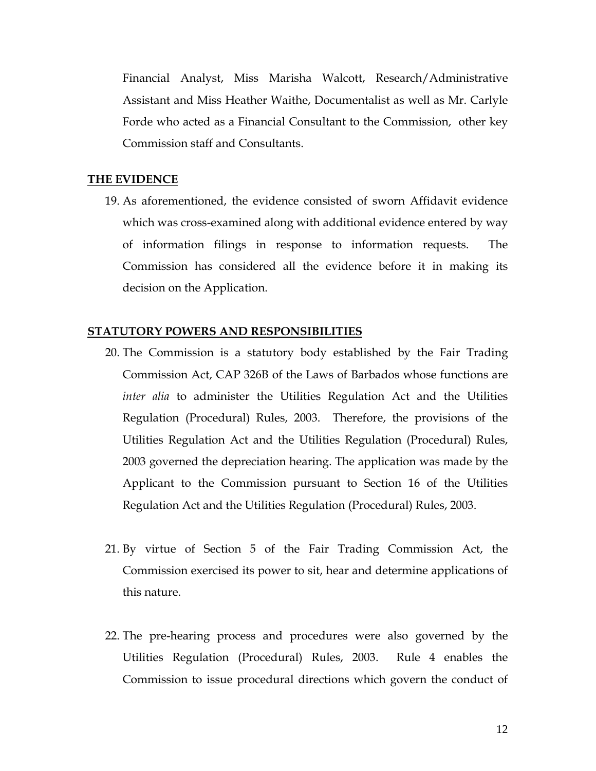Financial Analyst, Miss Marisha Walcott, Research/Administrative Assistant and Miss Heather Waithe, Documentalist as well as Mr. Carlyle Forde who acted as a Financial Consultant to the Commission, other key Commission staff and Consultants.

#### **THE EVIDENCE**

19. As aforementioned, the evidence consisted of sworn Affidavit evidence which was cross-examined along with additional evidence entered by way of information filings in response to information requests. The Commission has considered all the evidence before it in making its decision on the Application.

#### **STATUTORY POWERS AND RESPONSIBILITIES**

- 20. The Commission is a statutory body established by the Fair Trading Commission Act, CAP 326B of the Laws of Barbados whose functions are *inter alia* to administer the Utilities Regulation Act and the Utilities Regulation (Procedural) Rules, 2003. Therefore, the provisions of the Utilities Regulation Act and the Utilities Regulation (Procedural) Rules, 2003 governed the depreciation hearing. The application was made by the Applicant to the Commission pursuant to Section 16 of the Utilities Regulation Act and the Utilities Regulation (Procedural) Rules, 2003.
- 21. By virtue of Section 5 of the Fair Trading Commission Act, the Commission exercised its power to sit, hear and determine applications of this nature.
- 22. The pre-hearing process and procedures were also governed by the Utilities Regulation (Procedural) Rules, 2003. Rule 4 enables the Commission to issue procedural directions which govern the conduct of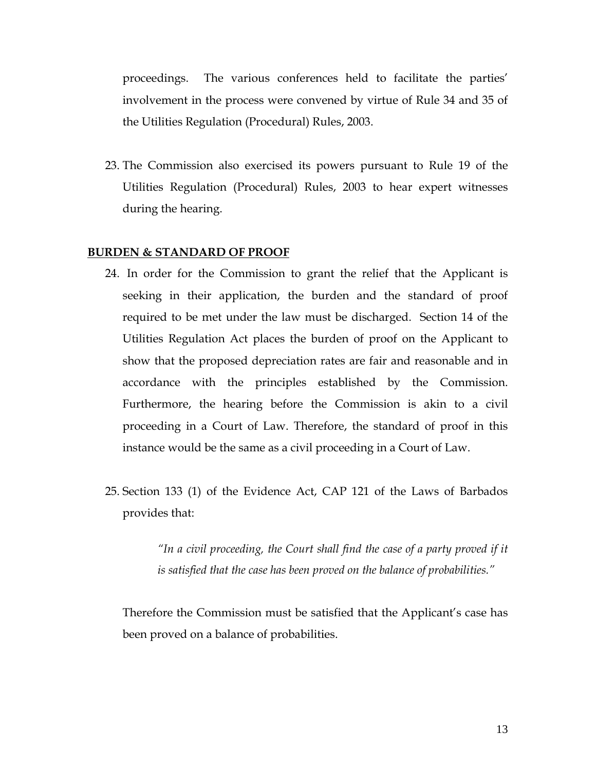proceedings. The various conferences held to facilitate the parties' involvement in the process were convened by virtue of Rule 34 and 35 of the Utilities Regulation (Procedural) Rules, 2003.

23. The Commission also exercised its powers pursuant to Rule 19 of the Utilities Regulation (Procedural) Rules, 2003 to hear expert witnesses during the hearing.

#### **BURDEN & STANDARD OF PROOF**

- 24. In order for the Commission to grant the relief that the Applicant is seeking in their application, the burden and the standard of proof required to be met under the law must be discharged. Section 14 of the Utilities Regulation Act places the burden of proof on the Applicant to show that the proposed depreciation rates are fair and reasonable and in accordance with the principles established by the Commission. Furthermore, the hearing before the Commission is akin to a civil proceeding in a Court of Law. Therefore, the standard of proof in this instance would be the same as a civil proceeding in a Court of Law.
- 25. Section 133 (1) of the Evidence Act, CAP 121 of the Laws of Barbados provides that:

*"In a civil proceeding, the Court shall find the case of a party proved if it is satisfied that the case has been proved on the balance of probabilities."* 

Therefore the Commission must be satisfied that the Applicant's case has been proved on a balance of probabilities.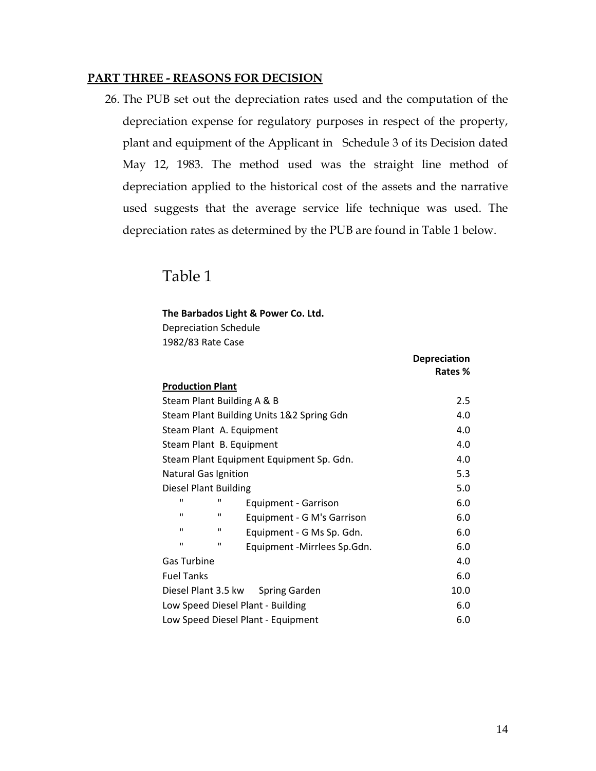#### **PART THREE - REASONS FOR DECISION**

26. The PUB set out the depreciation rates used and the computation of the depreciation expense for regulatory purposes in respect of the property, plant and equipment of the Applicant in Schedule 3 of its Decision dated May 12, 1983. The method used was the straight line method of depreciation applied to the historical cost of the assets and the narrative used suggests that the average service life technique was used. The depreciation rates as determined by the PUB are found in Table 1 below.

### Table 1

#### **The Barbados Light & Power Co. Ltd.**

Depreciation Schedule 1982/83 Rate Case

|                                    |   |                                           | <b>Depreciation</b> |  |  |
|------------------------------------|---|-------------------------------------------|---------------------|--|--|
|                                    |   |                                           | Rates %             |  |  |
| <b>Production Plant</b>            |   |                                           |                     |  |  |
|                                    |   | Steam Plant Building A & B                | 2.5                 |  |  |
|                                    |   | Steam Plant Building Units 1&2 Spring Gdn | 4.0                 |  |  |
|                                    |   | Steam Plant A. Equipment                  | 4.0                 |  |  |
|                                    |   | Steam Plant B. Equipment                  | 4.0                 |  |  |
|                                    |   | Steam Plant Equipment Equipment Sp. Gdn.  | 4.0                 |  |  |
| <b>Natural Gas Ignition</b>        |   |                                           | 5.3                 |  |  |
| <b>Diesel Plant Building</b>       |   |                                           | 5.0                 |  |  |
| ш                                  | п | Equipment - Garrison                      | 6.0                 |  |  |
| $\mathbf{H}$                       | п | Equipment - G M's Garrison                | 6.0                 |  |  |
| ш                                  | п | Equipment - G Ms Sp. Gdn.                 | 6.0                 |  |  |
| $\mathbf{H}$                       | п | Equipment -Mirrlees Sp.Gdn.               | 6.0                 |  |  |
| <b>Gas Turbine</b>                 |   |                                           | 4.0                 |  |  |
| <b>Fuel Tanks</b>                  |   |                                           | 6.0                 |  |  |
|                                    |   | Diesel Plant 3.5 kw Spring Garden         | 10.0                |  |  |
| Low Speed Diesel Plant - Building  |   |                                           | 6.0                 |  |  |
| Low Speed Diesel Plant - Equipment |   |                                           | 6.0                 |  |  |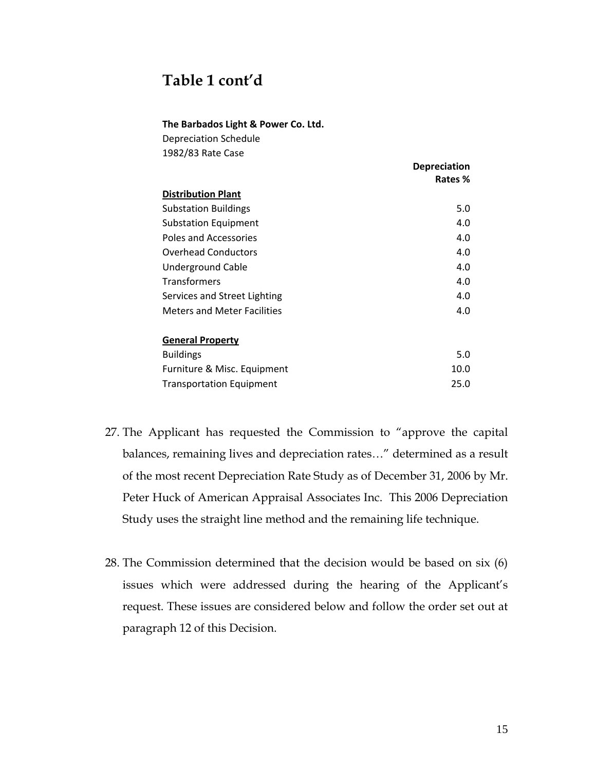### **Table 1 cont'd**

#### **The Barbados Light & Power Co. Ltd.**

| <b>Depreciation Schedule</b> |  |
|------------------------------|--|
| 1982/83 Rate Case            |  |

|                                    | <b>Depreciation</b> |
|------------------------------------|---------------------|
|                                    | Rates %             |
| <b>Distribution Plant</b>          |                     |
| <b>Substation Buildings</b>        | 5.0                 |
| <b>Substation Equipment</b>        | 4.0                 |
| Poles and Accessories              | 4.0                 |
| <b>Overhead Conductors</b>         | 4.0                 |
| <b>Underground Cable</b>           | 4.0                 |
| <b>Transformers</b>                | 4.0                 |
| Services and Street Lighting       | 4.0                 |
| <b>Meters and Meter Facilities</b> | 4.0                 |
| <b>General Property</b>            |                     |
| <b>Buildings</b>                   | 5.0                 |
| Furniture & Misc. Equipment        | 10.0                |
| <b>Transportation Equipment</b>    | 25.0                |

- 27. The Applicant has requested the Commission to "approve the capital balances, remaining lives and depreciation rates…" determined as a result of the most recent Depreciation Rate Study as of December 31, 2006 by Mr. Peter Huck of American Appraisal Associates Inc. This 2006 Depreciation Study uses the straight line method and the remaining life technique.
- 28. The Commission determined that the decision would be based on six (6) issues which were addressed during the hearing of the Applicant's request. These issues are considered below and follow the order set out at paragraph 12 of this Decision.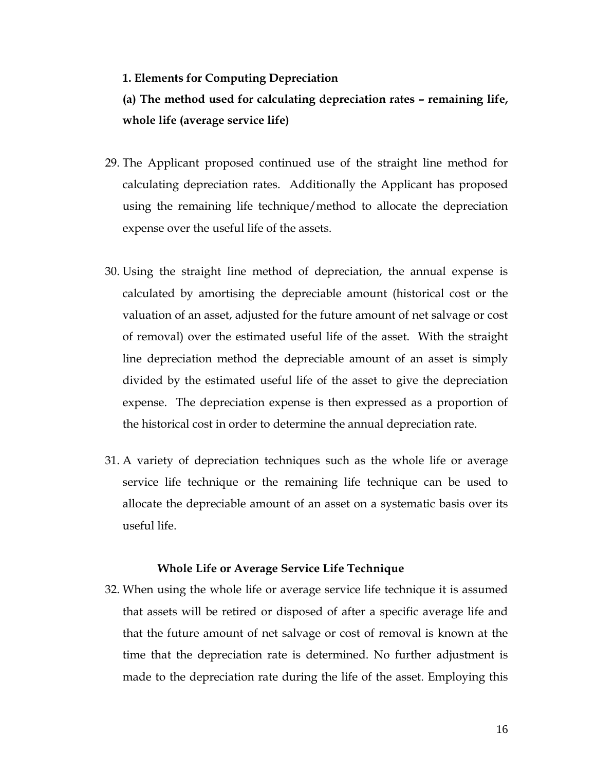#### **1. Elements for Computing Depreciation**

**(a) The method used for calculating depreciation rates – remaining life, whole life (average service life)** 

- 29. The Applicant proposed continued use of the straight line method for calculating depreciation rates. Additionally the Applicant has proposed using the remaining life technique/method to allocate the depreciation expense over the useful life of the assets.
- 30. Using the straight line method of depreciation, the annual expense is calculated by amortising the depreciable amount (historical cost or the valuation of an asset, adjusted for the future amount of net salvage or cost of removal) over the estimated useful life of the asset. With the straight line depreciation method the depreciable amount of an asset is simply divided by the estimated useful life of the asset to give the depreciation expense. The depreciation expense is then expressed as a proportion of the historical cost in order to determine the annual depreciation rate.
- 31. A variety of depreciation techniques such as the whole life or average service life technique or the remaining life technique can be used to allocate the depreciable amount of an asset on a systematic basis over its useful life.

#### **Whole Life or Average Service Life Technique**

32. When using the whole life or average service life technique it is assumed that assets will be retired or disposed of after a specific average life and that the future amount of net salvage or cost of removal is known at the time that the depreciation rate is determined. No further adjustment is made to the depreciation rate during the life of the asset. Employing this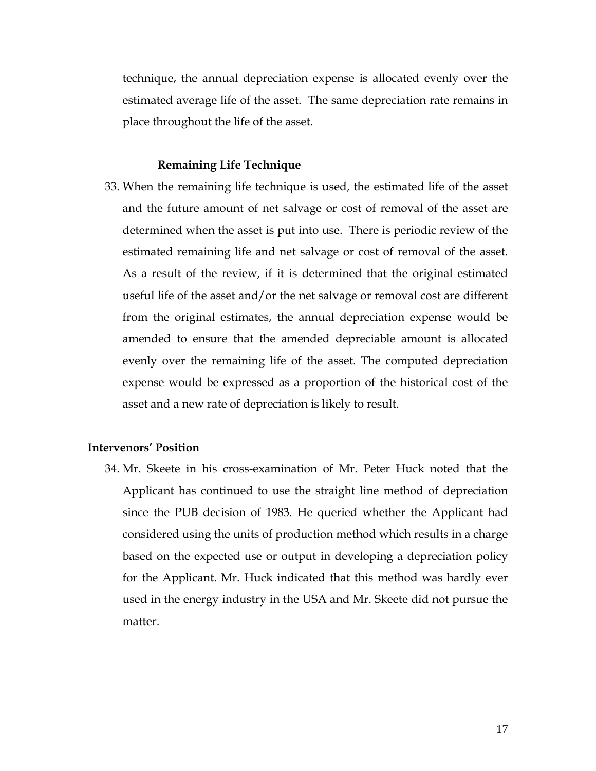technique, the annual depreciation expense is allocated evenly over the estimated average life of the asset. The same depreciation rate remains in place throughout the life of the asset.

#### **Remaining Life Technique**

33. When the remaining life technique is used, the estimated life of the asset and the future amount of net salvage or cost of removal of the asset are determined when the asset is put into use. There is periodic review of the estimated remaining life and net salvage or cost of removal of the asset. As a result of the review, if it is determined that the original estimated useful life of the asset and/or the net salvage or removal cost are different from the original estimates, the annual depreciation expense would be amended to ensure that the amended depreciable amount is allocated evenly over the remaining life of the asset. The computed depreciation expense would be expressed as a proportion of the historical cost of the asset and a new rate of depreciation is likely to result.

#### **Intervenors' Position**

34. Mr. Skeete in his cross-examination of Mr. Peter Huck noted that the Applicant has continued to use the straight line method of depreciation since the PUB decision of 1983. He queried whether the Applicant had considered using the units of production method which results in a charge based on the expected use or output in developing a depreciation policy for the Applicant. Mr. Huck indicated that this method was hardly ever used in the energy industry in the USA and Mr. Skeete did not pursue the matter.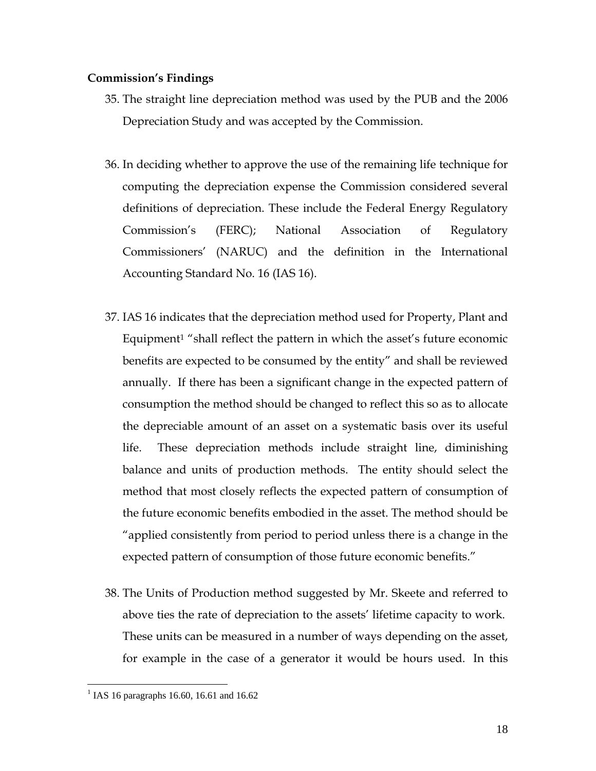#### **Commission's Findings**

- 35. The straight line depreciation method was used by the PUB and the 2006 Depreciation Study and was accepted by the Commission.
- 36. In deciding whether to approve the use of the remaining life technique for computing the depreciation expense the Commission considered several definitions of depreciation. These include the Federal Energy Regulatory Commission's (FERC); National Association of Regulatory Commissioners' (NARUC) and the definition in the International Accounting Standard No. 16 (IAS 16).
- 37. IAS 16 indicates that the depreciation method used for Property, Plant and Equipment1 "shall reflect the pattern in which the asset's future economic benefits are expected to be consumed by the entity" and shall be reviewed annually. If there has been a significant change in the expected pattern of consumption the method should be changed to reflect this so as to allocate the depreciable amount of an asset on a systematic basis over its useful life. These depreciation methods include straight line, diminishing balance and units of production methods. The entity should select the method that most closely reflects the expected pattern of consumption of the future economic benefits embodied in the asset. The method should be "applied consistently from period to period unless there is a change in the expected pattern of consumption of those future economic benefits."
- 38. The Units of Production method suggested by Mr. Skeete and referred to above ties the rate of depreciation to the assets' lifetime capacity to work. These units can be measured in a number of ways depending on the asset, for example in the case of a generator it would be hours used. In this

<u>.</u>

<sup>&</sup>lt;sup>1</sup> IAS 16 paragraphs 16.60, 16.61 and 16.62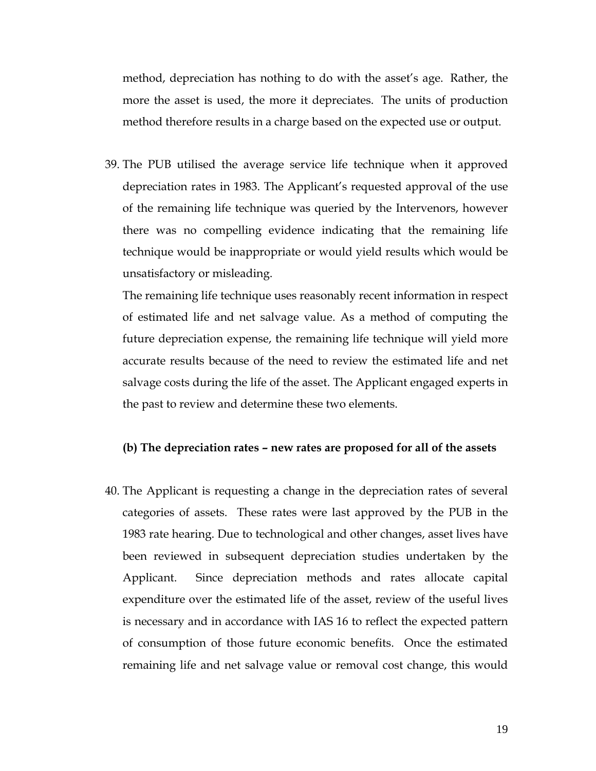method, depreciation has nothing to do with the asset's age. Rather, the more the asset is used, the more it depreciates. The units of production method therefore results in a charge based on the expected use or output.

39. The PUB utilised the average service life technique when it approved depreciation rates in 1983. The Applicant's requested approval of the use of the remaining life technique was queried by the Intervenors, however there was no compelling evidence indicating that the remaining life technique would be inappropriate or would yield results which would be unsatisfactory or misleading.

The remaining life technique uses reasonably recent information in respect of estimated life and net salvage value. As a method of computing the future depreciation expense, the remaining life technique will yield more accurate results because of the need to review the estimated life and net salvage costs during the life of the asset. The Applicant engaged experts in the past to review and determine these two elements.

#### **(b) The depreciation rates – new rates are proposed for all of the assets**

40. The Applicant is requesting a change in the depreciation rates of several categories of assets. These rates were last approved by the PUB in the 1983 rate hearing. Due to technological and other changes, asset lives have been reviewed in subsequent depreciation studies undertaken by the Applicant. Since depreciation methods and rates allocate capital expenditure over the estimated life of the asset, review of the useful lives is necessary and in accordance with IAS 16 to reflect the expected pattern of consumption of those future economic benefits. Once the estimated remaining life and net salvage value or removal cost change, this would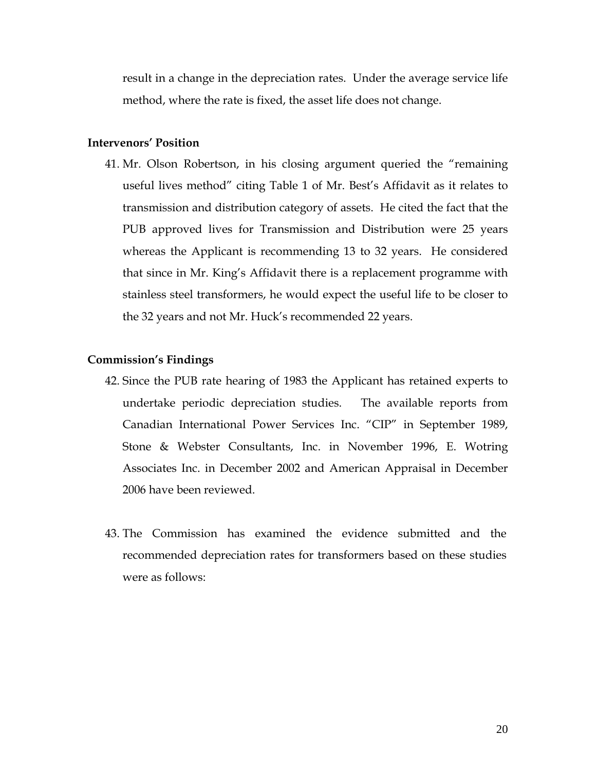result in a change in the depreciation rates. Under the average service life method, where the rate is fixed, the asset life does not change.

#### **Intervenors' Position**

41. Mr. Olson Robertson, in his closing argument queried the "remaining useful lives method" citing Table 1 of Mr. Best's Affidavit as it relates to transmission and distribution category of assets. He cited the fact that the PUB approved lives for Transmission and Distribution were 25 years whereas the Applicant is recommending 13 to 32 years. He considered that since in Mr. King's Affidavit there is a replacement programme with stainless steel transformers, he would expect the useful life to be closer to the 32 years and not Mr. Huck's recommended 22 years.

#### **Commission's Findings**

- 42. Since the PUB rate hearing of 1983 the Applicant has retained experts to undertake periodic depreciation studies. The available reports from Canadian International Power Services Inc. "CIP" in September 1989, Stone & Webster Consultants, Inc. in November 1996, E. Wotring Associates Inc. in December 2002 and American Appraisal in December 2006 have been reviewed.
- 43. The Commission has examined the evidence submitted and the recommended depreciation rates for transformers based on these studies were as follows: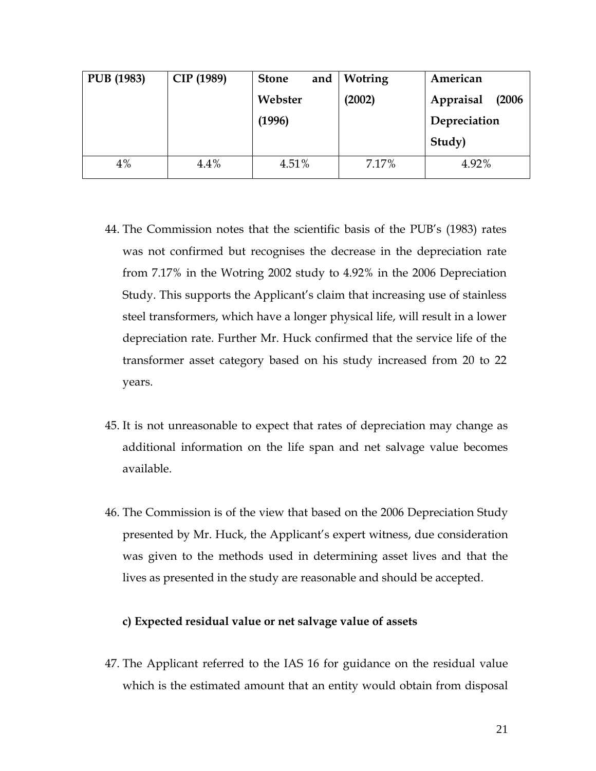| <b>PUB</b> (1983) | CIP (1989) | and<br><b>Stone</b> | Wotring | American            |
|-------------------|------------|---------------------|---------|---------------------|
|                   |            | Webster             | (2002)  | Appraisal<br>(2006) |
|                   |            | (1996)              |         | Depreciation        |
|                   |            |                     |         | Study)              |
| 4%                | 4.4%       | 4.51%               | 7.17%   | 4.92%               |

- 44. The Commission notes that the scientific basis of the PUB's (1983) rates was not confirmed but recognises the decrease in the depreciation rate from 7.17% in the Wotring 2002 study to 4.92% in the 2006 Depreciation Study. This supports the Applicant's claim that increasing use of stainless steel transformers, which have a longer physical life, will result in a lower depreciation rate. Further Mr. Huck confirmed that the service life of the transformer asset category based on his study increased from 20 to 22 years.
- 45. It is not unreasonable to expect that rates of depreciation may change as additional information on the life span and net salvage value becomes available.
- 46. The Commission is of the view that based on the 2006 Depreciation Study presented by Mr. Huck, the Applicant's expert witness, due consideration was given to the methods used in determining asset lives and that the lives as presented in the study are reasonable and should be accepted.

#### **c) Expected residual value or net salvage value of assets**

47. The Applicant referred to the IAS 16 for guidance on the residual value which is the estimated amount that an entity would obtain from disposal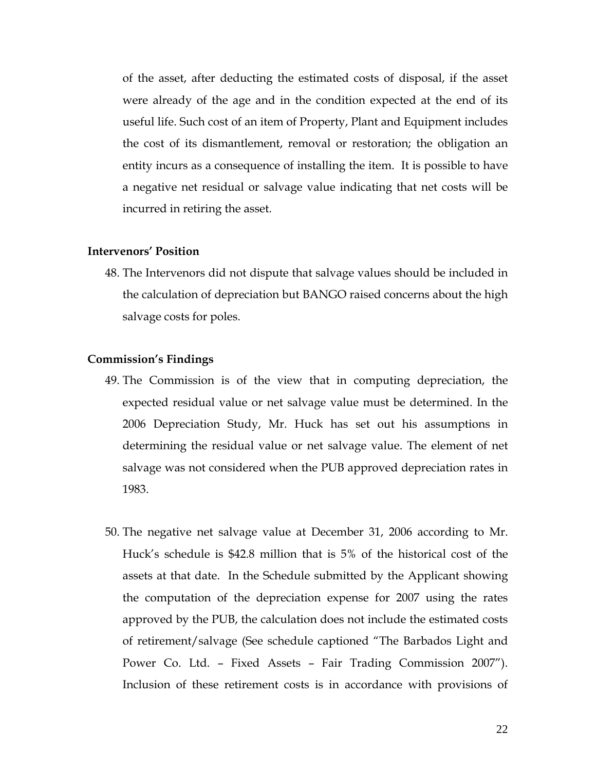of the asset, after deducting the estimated costs of disposal, if the asset were already of the age and in the condition expected at the end of its useful life. Such cost of an item of Property, Plant and Equipment includes the cost of its dismantlement, removal or restoration; the obligation an entity incurs as a consequence of installing the item. It is possible to have a negative net residual or salvage value indicating that net costs will be incurred in retiring the asset.

#### **Intervenors' Position**

48. The Intervenors did not dispute that salvage values should be included in the calculation of depreciation but BANGO raised concerns about the high salvage costs for poles.

#### **Commission's Findings**

- 49. The Commission is of the view that in computing depreciation, the expected residual value or net salvage value must be determined. In the 2006 Depreciation Study, Mr. Huck has set out his assumptions in determining the residual value or net salvage value. The element of net salvage was not considered when the PUB approved depreciation rates in 1983.
- 50. The negative net salvage value at December 31, 2006 according to Mr. Huck's schedule is \$42.8 million that is 5% of the historical cost of the assets at that date. In the Schedule submitted by the Applicant showing the computation of the depreciation expense for 2007 using the rates approved by the PUB, the calculation does not include the estimated costs of retirement/salvage (See schedule captioned "The Barbados Light and Power Co. Ltd. – Fixed Assets – Fair Trading Commission 2007"). Inclusion of these retirement costs is in accordance with provisions of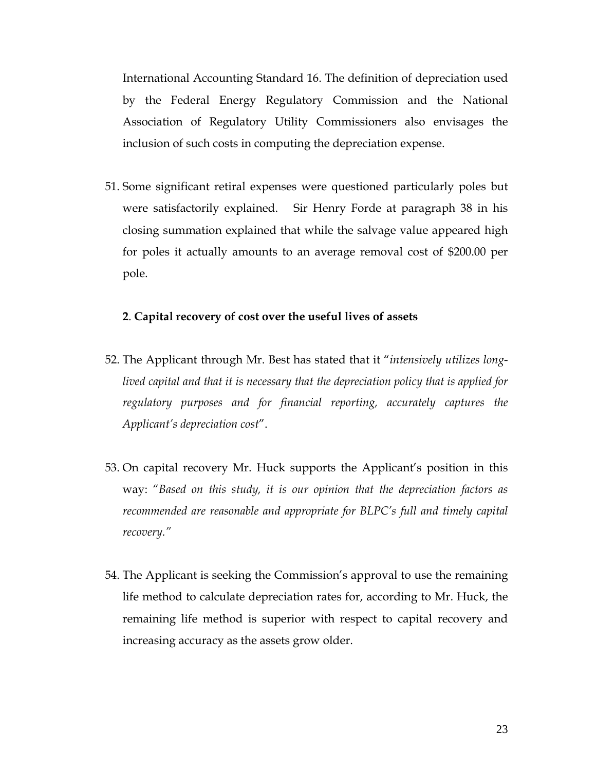International Accounting Standard 16. The definition of depreciation used by the Federal Energy Regulatory Commission and the National Association of Regulatory Utility Commissioners also envisages the inclusion of such costs in computing the depreciation expense.

51. Some significant retiral expenses were questioned particularly poles but were satisfactorily explained. Sir Henry Forde at paragraph 38 in his closing summation explained that while the salvage value appeared high for poles it actually amounts to an average removal cost of \$200.00 per pole.

#### **2**. **Capital recovery of cost over the useful lives of assets**

- 52. The Applicant through Mr. Best has stated that it "*intensively utilizes longlived capital and that it is necessary that the depreciation policy that is applied for regulatory purposes and for financial reporting, accurately captures the Applicant's depreciation cost*".
- 53. On capital recovery Mr. Huck supports the Applicant's position in this way: "*Based on this study, it is our opinion that the depreciation factors as recommended are reasonable and appropriate for BLPC's full and timely capital recovery."*
- 54. The Applicant is seeking the Commission's approval to use the remaining life method to calculate depreciation rates for, according to Mr. Huck, the remaining life method is superior with respect to capital recovery and increasing accuracy as the assets grow older.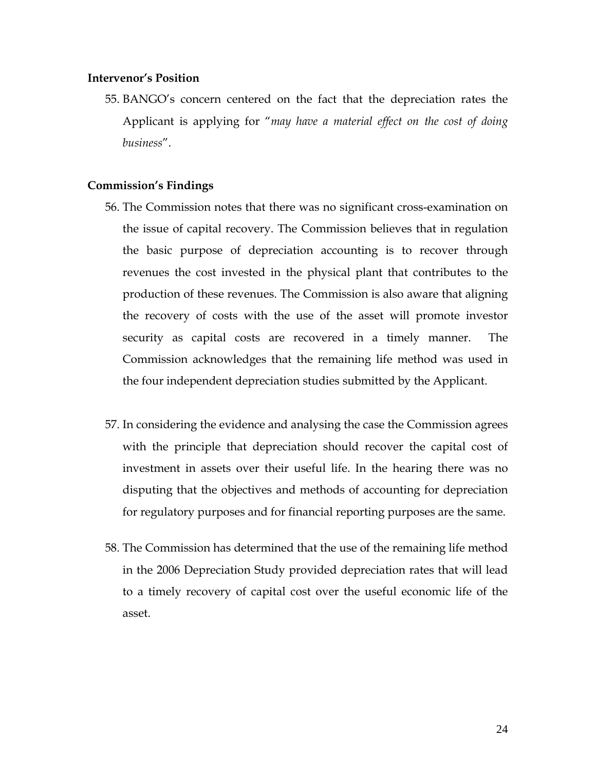#### **Intervenor's Position**

55. BANGO's concern centered on the fact that the depreciation rates the Applicant is applying for "*may have a material effect on the cost of doing business*".

#### **Commission's Findings**

- 56. The Commission notes that there was no significant cross-examination on the issue of capital recovery. The Commission believes that in regulation the basic purpose of depreciation accounting is to recover through revenues the cost invested in the physical plant that contributes to the production of these revenues. The Commission is also aware that aligning the recovery of costs with the use of the asset will promote investor security as capital costs are recovered in a timely manner. The Commission acknowledges that the remaining life method was used in the four independent depreciation studies submitted by the Applicant.
- 57. In considering the evidence and analysing the case the Commission agrees with the principle that depreciation should recover the capital cost of investment in assets over their useful life. In the hearing there was no disputing that the objectives and methods of accounting for depreciation for regulatory purposes and for financial reporting purposes are the same.
- 58. The Commission has determined that the use of the remaining life method in the 2006 Depreciation Study provided depreciation rates that will lead to a timely recovery of capital cost over the useful economic life of the asset.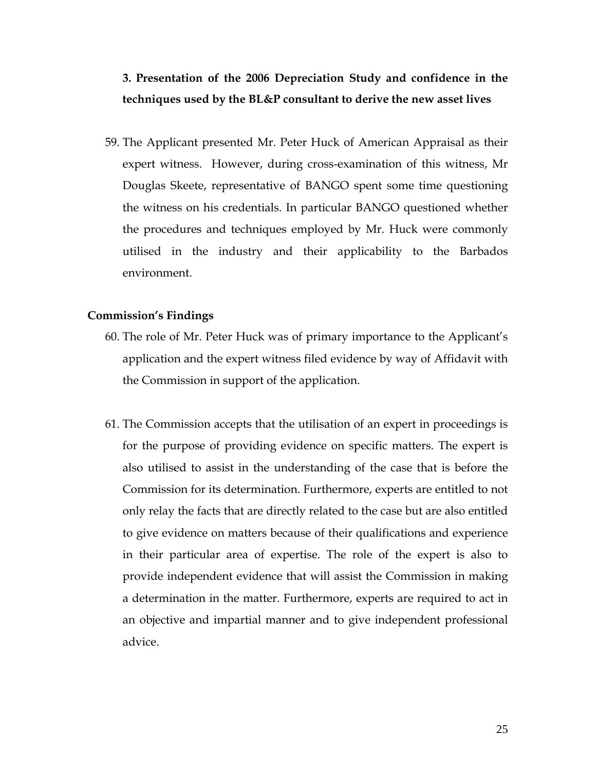### **3. Presentation of the 2006 Depreciation Study and confidence in the techniques used by the BL&P consultant to derive the new asset lives**

59. The Applicant presented Mr. Peter Huck of American Appraisal as their expert witness. However, during cross-examination of this witness, Mr Douglas Skeete, representative of BANGO spent some time questioning the witness on his credentials. In particular BANGO questioned whether the procedures and techniques employed by Mr. Huck were commonly utilised in the industry and their applicability to the Barbados environment.

#### **Commission's Findings**

- 60. The role of Mr. Peter Huck was of primary importance to the Applicant's application and the expert witness filed evidence by way of Affidavit with the Commission in support of the application.
- 61. The Commission accepts that the utilisation of an expert in proceedings is for the purpose of providing evidence on specific matters. The expert is also utilised to assist in the understanding of the case that is before the Commission for its determination. Furthermore, experts are entitled to not only relay the facts that are directly related to the case but are also entitled to give evidence on matters because of their qualifications and experience in their particular area of expertise. The role of the expert is also to provide independent evidence that will assist the Commission in making a determination in the matter. Furthermore, experts are required to act in an objective and impartial manner and to give independent professional advice.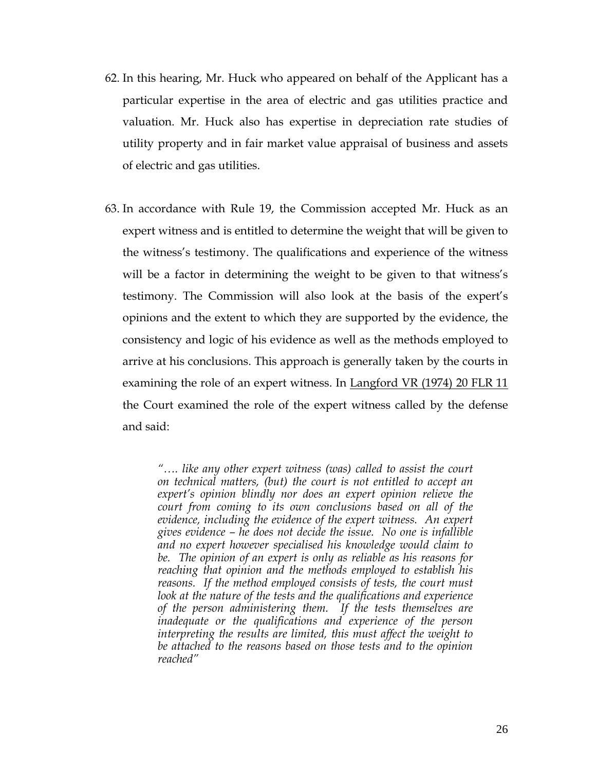- 62. In this hearing, Mr. Huck who appeared on behalf of the Applicant has a particular expertise in the area of electric and gas utilities practice and valuation. Mr. Huck also has expertise in depreciation rate studies of utility property and in fair market value appraisal of business and assets of electric and gas utilities.
- 63. In accordance with Rule 19, the Commission accepted Mr. Huck as an expert witness and is entitled to determine the weight that will be given to the witness's testimony. The qualifications and experience of the witness will be a factor in determining the weight to be given to that witness's testimony. The Commission will also look at the basis of the expert's opinions and the extent to which they are supported by the evidence, the consistency and logic of his evidence as well as the methods employed to arrive at his conclusions. This approach is generally taken by the courts in examining the role of an expert witness. In Langford VR (1974) 20 FLR 11 the Court examined the role of the expert witness called by the defense and said:

*"…. like any other expert witness (was) called to assist the court on technical matters, (but) the court is not entitled to accept an expert's opinion blindly nor does an expert opinion relieve the court from coming to its own conclusions based on all of the evidence, including the evidence of the expert witness. An expert gives evidence – he does not decide the issue. No one is infallible and no expert however specialised his knowledge would claim to be. The opinion of an expert is only as reliable as his reasons for reaching that opinion and the methods employed to establish his reasons. If the method employed consists of tests, the court must look at the nature of the tests and the qualifications and experience of the person administering them. If the tests themselves are inadequate or the qualifications and experience of the person interpreting the results are limited, this must affect the weight to be attached to the reasons based on those tests and to the opinion reached"*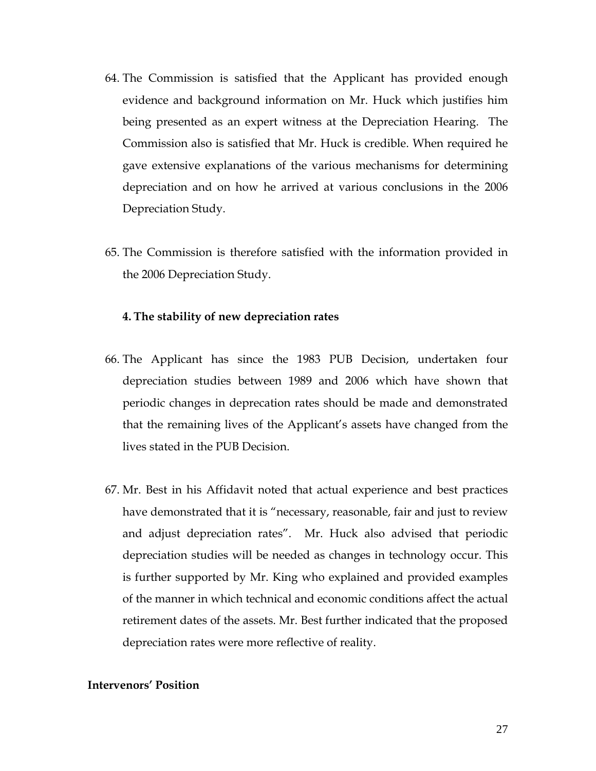- 64. The Commission is satisfied that the Applicant has provided enough evidence and background information on Mr. Huck which justifies him being presented as an expert witness at the Depreciation Hearing. The Commission also is satisfied that Mr. Huck is credible. When required he gave extensive explanations of the various mechanisms for determining depreciation and on how he arrived at various conclusions in the 2006 Depreciation Study.
- 65. The Commission is therefore satisfied with the information provided in the 2006 Depreciation Study.

#### **4. The stability of new depreciation rates**

- 66. The Applicant has since the 1983 PUB Decision, undertaken four depreciation studies between 1989 and 2006 which have shown that periodic changes in deprecation rates should be made and demonstrated that the remaining lives of the Applicant's assets have changed from the lives stated in the PUB Decision.
- 67. Mr. Best in his Affidavit noted that actual experience and best practices have demonstrated that it is "necessary, reasonable, fair and just to review and adjust depreciation rates". Mr. Huck also advised that periodic depreciation studies will be needed as changes in technology occur. This is further supported by Mr. King who explained and provided examples of the manner in which technical and economic conditions affect the actual retirement dates of the assets. Mr. Best further indicated that the proposed depreciation rates were more reflective of reality.

#### **Intervenors' Position**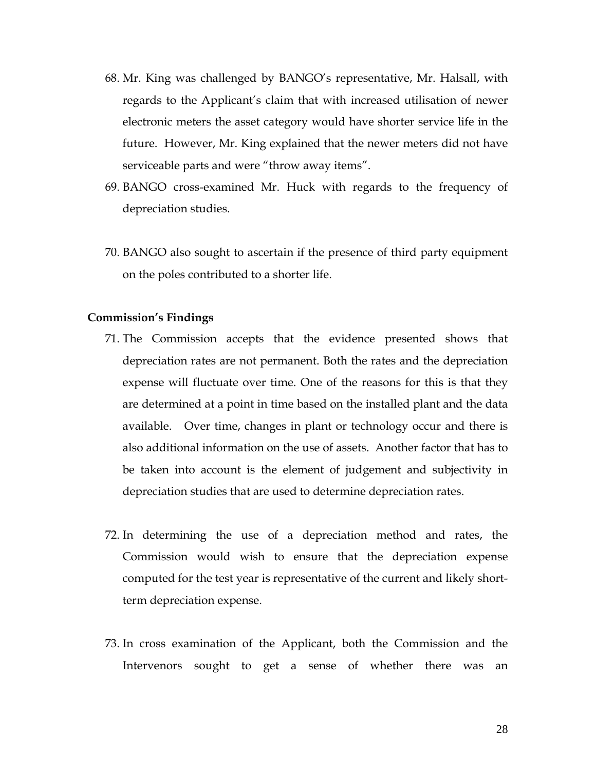- 68. Mr. King was challenged by BANGO's representative, Mr. Halsall, with regards to the Applicant's claim that with increased utilisation of newer electronic meters the asset category would have shorter service life in the future. However, Mr. King explained that the newer meters did not have serviceable parts and were "throw away items".
- 69. BANGO cross-examined Mr. Huck with regards to the frequency of depreciation studies.
- 70. BANGO also sought to ascertain if the presence of third party equipment on the poles contributed to a shorter life.

#### **Commission's Findings**

- 71. The Commission accepts that the evidence presented shows that depreciation rates are not permanent. Both the rates and the depreciation expense will fluctuate over time. One of the reasons for this is that they are determined at a point in time based on the installed plant and the data available. Over time, changes in plant or technology occur and there is also additional information on the use of assets. Another factor that has to be taken into account is the element of judgement and subjectivity in depreciation studies that are used to determine depreciation rates.
- 72. In determining the use of a depreciation method and rates, the Commission would wish to ensure that the depreciation expense computed for the test year is representative of the current and likely shortterm depreciation expense.
- 73. In cross examination of the Applicant, both the Commission and the Intervenors sought to get a sense of whether there was an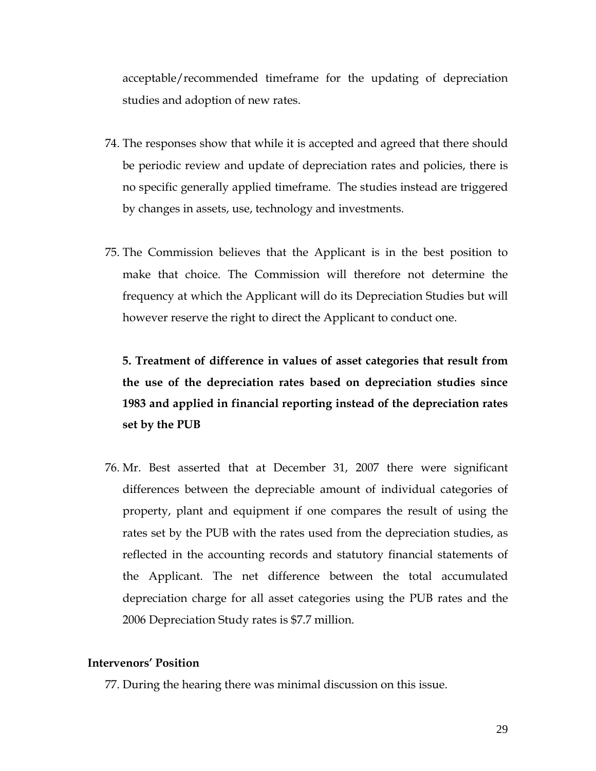acceptable/recommended timeframe for the updating of depreciation studies and adoption of new rates.

- 74. The responses show that while it is accepted and agreed that there should be periodic review and update of depreciation rates and policies, there is no specific generally applied timeframe. The studies instead are triggered by changes in assets, use, technology and investments.
- 75. The Commission believes that the Applicant is in the best position to make that choice. The Commission will therefore not determine the frequency at which the Applicant will do its Depreciation Studies but will however reserve the right to direct the Applicant to conduct one.

### **5. Treatment of difference in values of asset categories that result from the use of the depreciation rates based on depreciation studies since 1983 and applied in financial reporting instead of the depreciation rates set by the PUB**

76. Mr. Best asserted that at December 31, 2007 there were significant differences between the depreciable amount of individual categories of property, plant and equipment if one compares the result of using the rates set by the PUB with the rates used from the depreciation studies, as reflected in the accounting records and statutory financial statements of the Applicant. The net difference between the total accumulated depreciation charge for all asset categories using the PUB rates and the 2006 Depreciation Study rates is \$7.7 million.

#### **Intervenors' Position**

77. During the hearing there was minimal discussion on this issue.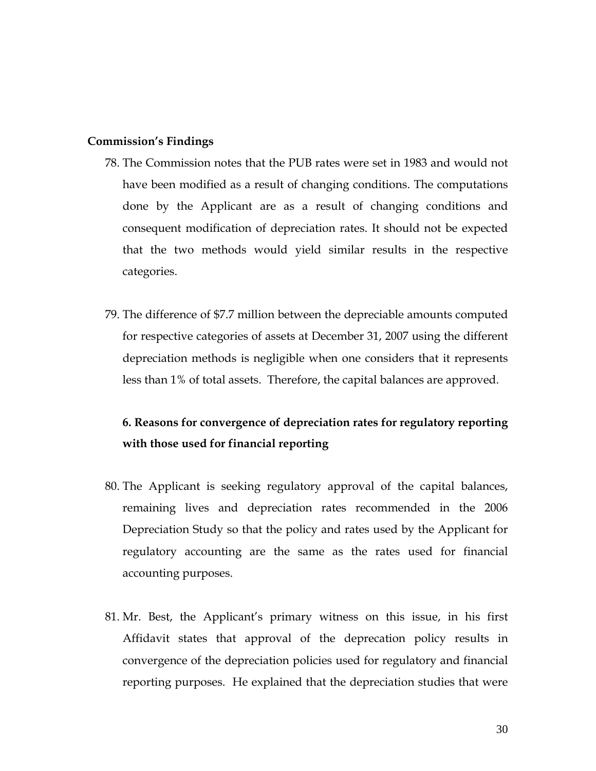#### **Commission's Findings**

- 78. The Commission notes that the PUB rates were set in 1983 and would not have been modified as a result of changing conditions. The computations done by the Applicant are as a result of changing conditions and consequent modification of depreciation rates. It should not be expected that the two methods would yield similar results in the respective categories.
- 79. The difference of \$7.7 million between the depreciable amounts computed for respective categories of assets at December 31, 2007 using the different depreciation methods is negligible when one considers that it represents less than 1% of total assets. Therefore, the capital balances are approved.

### **6. Reasons for convergence of depreciation rates for regulatory reporting with those used for financial reporting**

- 80. The Applicant is seeking regulatory approval of the capital balances, remaining lives and depreciation rates recommended in the 2006 Depreciation Study so that the policy and rates used by the Applicant for regulatory accounting are the same as the rates used for financial accounting purposes.
- 81. Mr. Best, the Applicant's primary witness on this issue, in his first Affidavit states that approval of the deprecation policy results in convergence of the depreciation policies used for regulatory and financial reporting purposes. He explained that the depreciation studies that were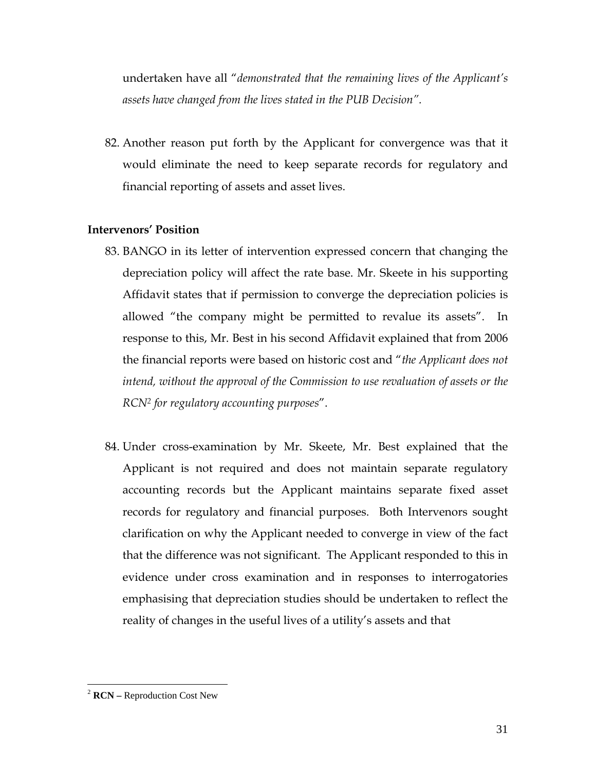undertaken have all "*demonstrated that the remaining lives of the Applicant's assets have changed from the lives stated in the PUB Decision".* 

82. Another reason put forth by the Applicant for convergence was that it would eliminate the need to keep separate records for regulatory and financial reporting of assets and asset lives.

#### **Intervenors' Position**

- 83. BANGO in its letter of intervention expressed concern that changing the depreciation policy will affect the rate base. Mr. Skeete in his supporting Affidavit states that if permission to converge the depreciation policies is allowed "the company might be permitted to revalue its assets". In response to this, Mr. Best in his second Affidavit explained that from 2006 the financial reports were based on historic cost and "*the Applicant does not intend, without the approval of the Commission to use revaluation of assets or the RCN2 for regulatory accounting purposes*".
- 84. Under cross-examination by Mr. Skeete, Mr. Best explained that the Applicant is not required and does not maintain separate regulatory accounting records but the Applicant maintains separate fixed asset records for regulatory and financial purposes. Both Intervenors sought clarification on why the Applicant needed to converge in view of the fact that the difference was not significant. The Applicant responded to this in evidence under cross examination and in responses to interrogatories emphasising that depreciation studies should be undertaken to reflect the reality of changes in the useful lives of a utility's assets and that

 $\overline{a}$ 

<sup>2</sup> **RCN –** Reproduction Cost New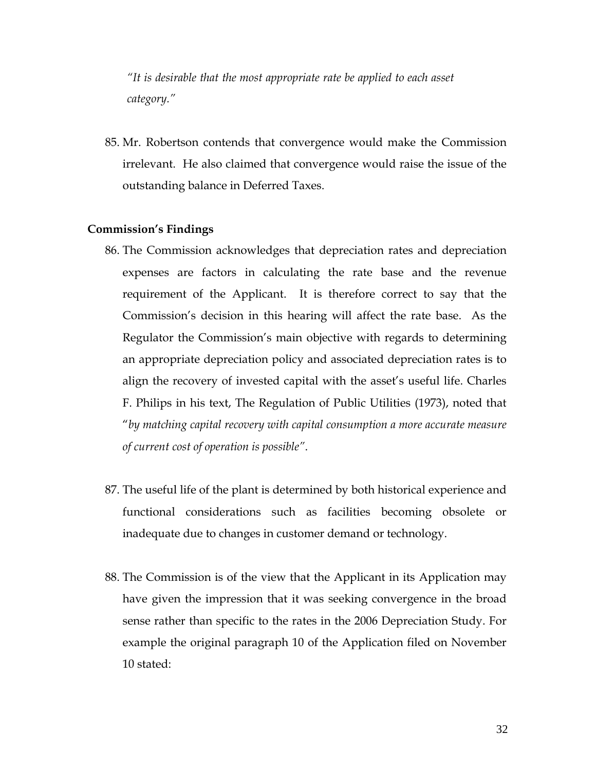*"It is desirable that the most appropriate rate be applied to each asset category."* 

85. Mr. Robertson contends that convergence would make the Commission irrelevant. He also claimed that convergence would raise the issue of the outstanding balance in Deferred Taxes.

#### **Commission's Findings**

- 86. The Commission acknowledges that depreciation rates and depreciation expenses are factors in calculating the rate base and the revenue requirement of the Applicant. It is therefore correct to say that the Commission's decision in this hearing will affect the rate base. As the Regulator the Commission's main objective with regards to determining an appropriate depreciation policy and associated depreciation rates is to align the recovery of invested capital with the asset's useful life. Charles F. Philips in his text, The Regulation of Public Utilities (1973), noted that "*by matching capital recovery with capital consumption a more accurate measure of current cost of operation is possible"*.
- 87. The useful life of the plant is determined by both historical experience and functional considerations such as facilities becoming obsolete or inadequate due to changes in customer demand or technology.
- 88. The Commission is of the view that the Applicant in its Application may have given the impression that it was seeking convergence in the broad sense rather than specific to the rates in the 2006 Depreciation Study. For example the original paragraph 10 of the Application filed on November 10 stated: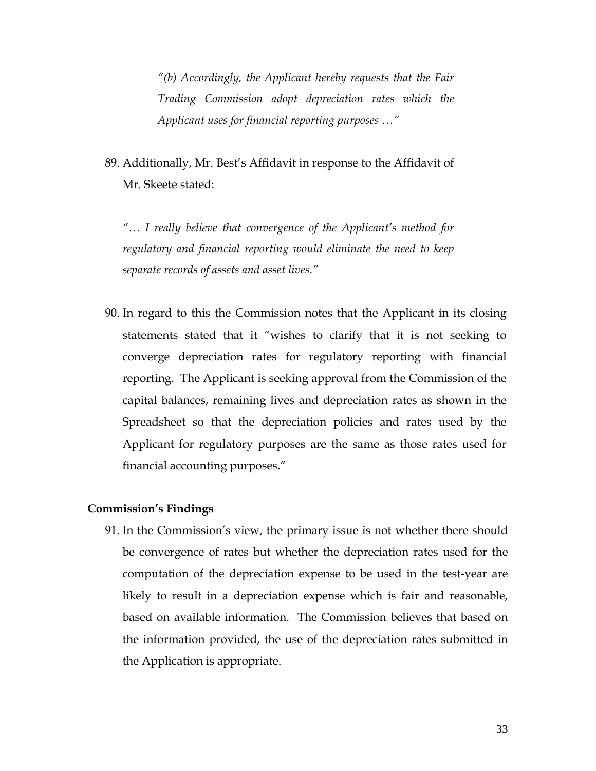*"(b) Accordingly, the Applicant hereby requests that the Fair Trading Commission adopt depreciation rates which the Applicant uses for financial reporting purposes …"* 

89. Additionally, Mr. Best's Affidavit in response to the Affidavit of Mr. Skeete stated:

*"… I really believe that convergence of the Applicant's method for regulatory and financial reporting would eliminate the need to keep separate records of assets and asset lives."* 

90. In regard to this the Commission notes that the Applicant in its closing statements stated that it "wishes to clarify that it is not seeking to converge depreciation rates for regulatory reporting with financial reporting. The Applicant is seeking approval from the Commission of the capital balances, remaining lives and depreciation rates as shown in the Spreadsheet so that the depreciation policies and rates used by the Applicant for regulatory purposes are the same as those rates used for financial accounting purposes."

#### **Commission's Findings**

91. In the Commission's view, the primary issue is not whether there should be convergence of rates but whether the depreciation rates used for the computation of the depreciation expense to be used in the test-year are likely to result in a depreciation expense which is fair and reasonable, based on available information. The Commission believes that based on the information provided, the use of the depreciation rates submitted in the Application is appropriate.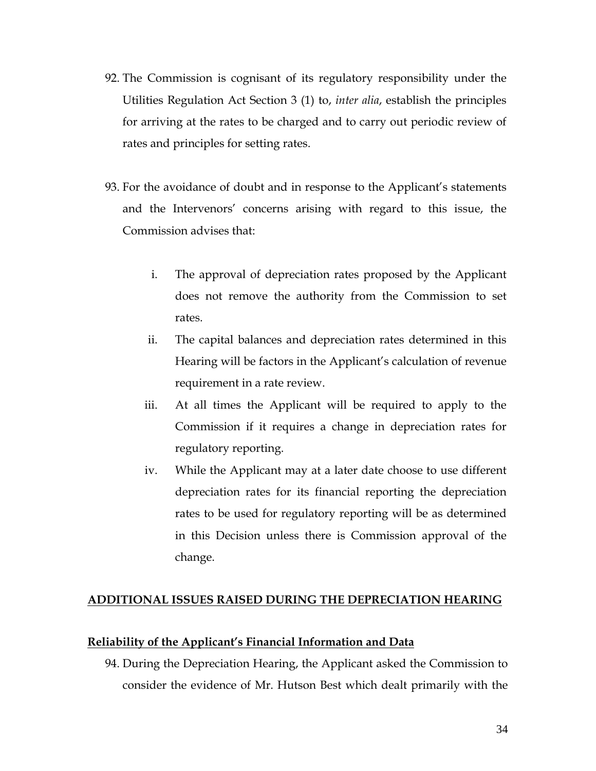- 92. The Commission is cognisant of its regulatory responsibility under the Utilities Regulation Act Section 3 (1) to, *inter alia*, establish the principles for arriving at the rates to be charged and to carry out periodic review of rates and principles for setting rates.
- 93. For the avoidance of doubt and in response to the Applicant's statements and the Intervenors' concerns arising with regard to this issue, the Commission advises that:
	- i. The approval of depreciation rates proposed by the Applicant does not remove the authority from the Commission to set rates.
	- ii. The capital balances and depreciation rates determined in this Hearing will be factors in the Applicant's calculation of revenue requirement in a rate review.
	- iii. At all times the Applicant will be required to apply to the Commission if it requires a change in depreciation rates for regulatory reporting.
	- iv. While the Applicant may at a later date choose to use different depreciation rates for its financial reporting the depreciation rates to be used for regulatory reporting will be as determined in this Decision unless there is Commission approval of the change.

### **ADDITIONAL ISSUES RAISED DURING THE DEPRECIATION HEARING**

#### **Reliability of the Applicant's Financial Information and Data**

94. During the Depreciation Hearing, the Applicant asked the Commission to consider the evidence of Mr. Hutson Best which dealt primarily with the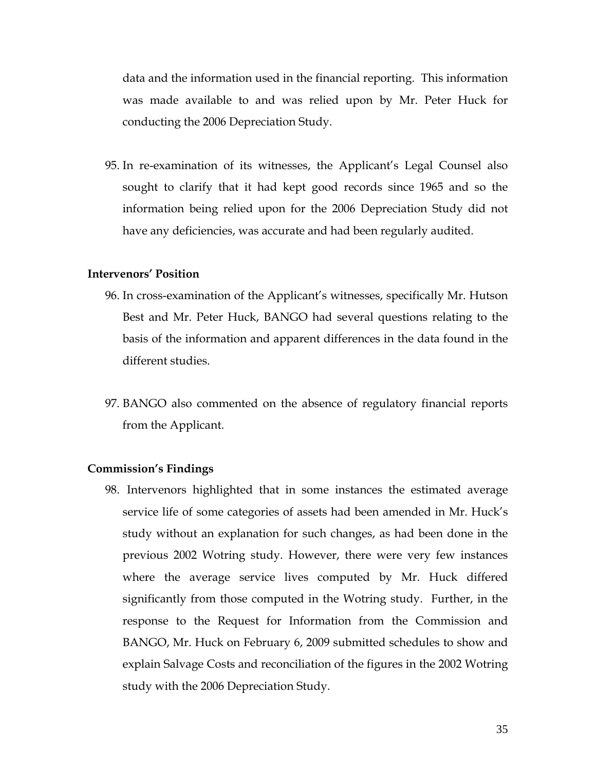data and the information used in the financial reporting. This information was made available to and was relied upon by Mr. Peter Huck for conducting the 2006 Depreciation Study.

95. In re-examination of its witnesses, the Applicant's Legal Counsel also sought to clarify that it had kept good records since 1965 and so the information being relied upon for the 2006 Depreciation Study did not have any deficiencies, was accurate and had been regularly audited.

#### **Intervenors' Position**

- 96. In cross-examination of the Applicant's witnesses, specifically Mr. Hutson Best and Mr. Peter Huck, BANGO had several questions relating to the basis of the information and apparent differences in the data found in the different studies.
- 97. BANGO also commented on the absence of regulatory financial reports from the Applicant.

#### **Commission's Findings**

98. Intervenors highlighted that in some instances the estimated average service life of some categories of assets had been amended in Mr. Huck's study without an explanation for such changes, as had been done in the previous 2002 Wotring study. However, there were very few instances where the average service lives computed by Mr. Huck differed significantly from those computed in the Wotring study. Further, in the response to the Request for Information from the Commission and BANGO, Mr. Huck on February 6, 2009 submitted schedules to show and explain Salvage Costs and reconciliation of the figures in the 2002 Wotring study with the 2006 Depreciation Study.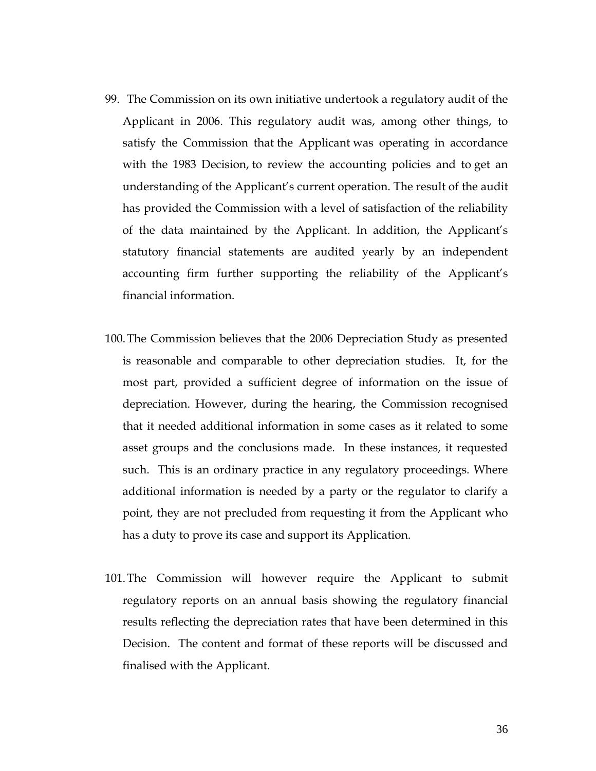- 99. The Commission on its own initiative undertook a regulatory audit of the Applicant in 2006. This regulatory audit was, among other things, to satisfy the Commission that the Applicant was operating in accordance with the 1983 Decision, to review the accounting policies and to get an understanding of the Applicant's current operation. The result of the audit has provided the Commission with a level of satisfaction of the reliability of the data maintained by the Applicant. In addition, the Applicant's statutory financial statements are audited yearly by an independent accounting firm further supporting the reliability of the Applicant's financial information.
- 100.The Commission believes that the 2006 Depreciation Study as presented is reasonable and comparable to other depreciation studies. It, for the most part, provided a sufficient degree of information on the issue of depreciation. However, during the hearing, the Commission recognised that it needed additional information in some cases as it related to some asset groups and the conclusions made. In these instances, it requested such. This is an ordinary practice in any regulatory proceedings. Where additional information is needed by a party or the regulator to clarify a point, they are not precluded from requesting it from the Applicant who has a duty to prove its case and support its Application.
- 101.The Commission will however require the Applicant to submit regulatory reports on an annual basis showing the regulatory financial results reflecting the depreciation rates that have been determined in this Decision. The content and format of these reports will be discussed and finalised with the Applicant.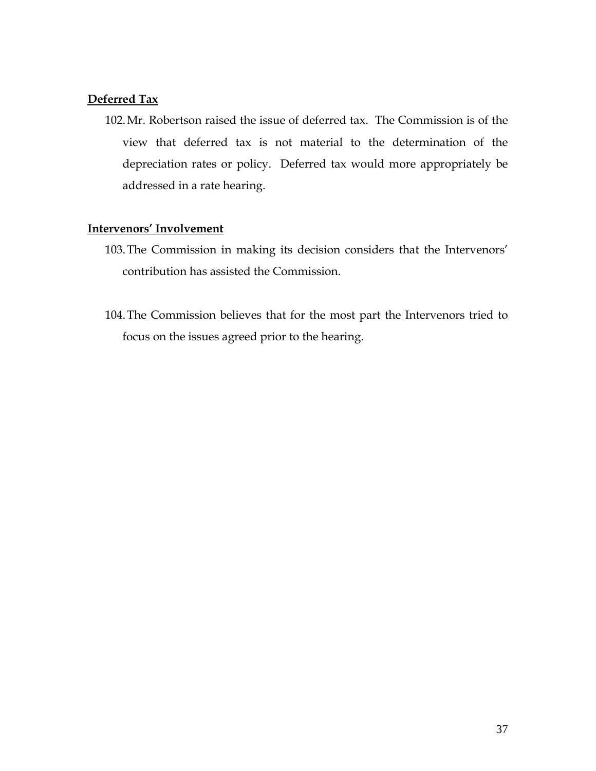#### **Deferred Tax**

102.Mr. Robertson raised the issue of deferred tax. The Commission is of the view that deferred tax is not material to the determination of the depreciation rates or policy. Deferred tax would more appropriately be addressed in a rate hearing.

#### **Intervenors' Involvement**

- 103.The Commission in making its decision considers that the Intervenors' contribution has assisted the Commission.
- 104.The Commission believes that for the most part the Intervenors tried to focus on the issues agreed prior to the hearing.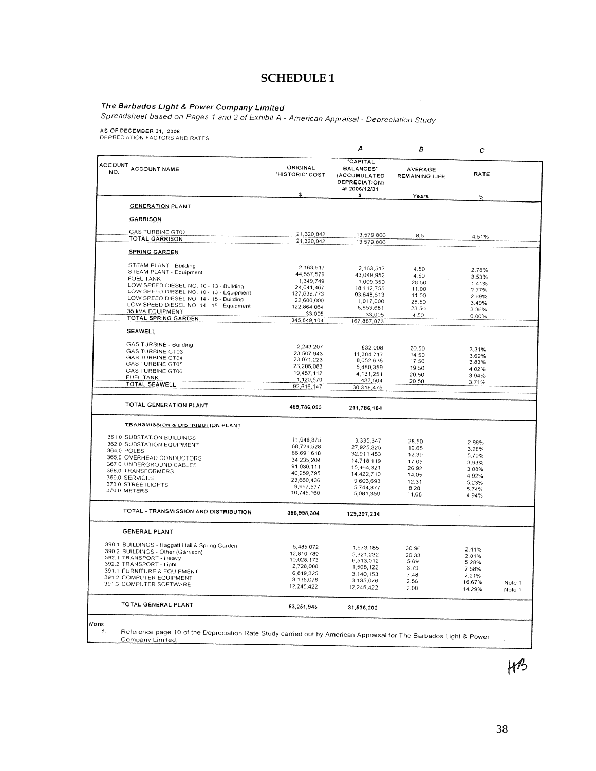#### **SCHEDULE 1**

 $\mathcal{L}$ 

#### The Barbados Light & Power Company Limited

The Barbados Eight & Power Company Limited<br>Spreadsheet based on Pages 1 and 2 of Exhibit A - American Appraisal - Depreciation Study

N.

AS OF DECEMBER 31, 2006<br>DEPRECIATION FACTORS AND RATES

|                                                |                             | А                                                                                           | в                                       | с              |                  |
|------------------------------------------------|-----------------------------|---------------------------------------------------------------------------------------------|-----------------------------------------|----------------|------------------|
| ACCOUNT ACCOUNT NAME                           | ORIGINAL<br>'HISTORIC' COST | <b>CAPITAL</b><br><b>BALANCES"</b><br>(ACCUMULATED<br><b>DEPRECIATION)</b><br>at 2006/12/31 | <b>AVERAGE</b><br><b>REMAINING LIFE</b> | RATE           |                  |
|                                                | \$                          | s                                                                                           | Years                                   | $\%$           |                  |
| <b>GENERATION PLANT</b>                        |                             |                                                                                             |                                         |                |                  |
|                                                |                             |                                                                                             |                                         |                |                  |
| <b>GARRISON</b>                                |                             |                                                                                             |                                         |                |                  |
| <b>GAS TURBINE GT02</b>                        | 21,320,842                  | 13,579,806                                                                                  | 8.5                                     | 4.51%          |                  |
| TOTAL GARRISON                                 | 21,320,842                  | 13,579,806                                                                                  |                                         |                |                  |
| <b>SPRING GARDEN</b>                           |                             |                                                                                             |                                         |                |                  |
| STEAM PLANT - Building                         | 2, 163, 517                 |                                                                                             |                                         |                |                  |
| STEAM PLANT - Equipment                        | 44,557,529                  | 2,163,517<br>43.049.952                                                                     | 4.50                                    | 2.78%          |                  |
| <b>FUEL TANK</b>                               | 1,349,749                   | 1,009,350                                                                                   | 4.50                                    | 3.53%          |                  |
| LOW SPEED DIESEL NO. 10 - 13 - Building        | 24,641,467                  | 18, 112. 755                                                                                | 28.50                                   | 1.41%          |                  |
| LOW SPEED DIESEL NO. 10 - 13 - Equipment       | 127,639,773                 | 93,648,613                                                                                  | 11.00                                   | 2.77%          |                  |
| LOW SPEED DIESEL NO. 14 - 15 - Building        | 22,600,000                  | 1,017,000                                                                                   | 11.00                                   | 2.69%          |                  |
| LOW SPEED DIESEL NO. 14 - 15 - Equipment       | 122,864,064                 | 8853681                                                                                     | 28.50                                   | 3.49%          |                  |
| 35 KVA EQUIPMENT                               | 33,005                      | 33,005                                                                                      | 28.50                                   | 3.36%          |                  |
| TOTAL SPRING GARDEN                            | 345,849,104                 | 167,887,873                                                                                 | 4.50                                    | 0.00%          |                  |
| <b>SEAWELL</b>                                 |                             |                                                                                             |                                         |                |                  |
| GAS TURBINE - Building                         | 2.243.207                   | 832,008                                                                                     |                                         |                |                  |
| <b>GAS TURBINE GT03</b>                        | 23.507.943                  | 11,384,717                                                                                  | 20.50                                   | 3.31%          |                  |
| <b>GAS TURBINE GT04</b>                        | 23,071,223                  | 8,052,636                                                                                   | 14.50                                   | 3.69%          |                  |
| <b>GAS TURBINE GT05</b>                        | 23,206,083                  | 5,480,359                                                                                   | 17.50                                   | 3.83%          |                  |
| <b>GAS TURBINE GT06</b>                        | 19,467,112                  |                                                                                             | 19.50                                   | 4.02%          |                  |
| <b>FUEL TANK</b>                               | 1,120,579                   | 4,131,251                                                                                   | 20.50                                   | 3.94%          |                  |
| TOTAL SEAWELL                                  | 92,616,147                  | 437,504<br>30,318,475                                                                       | 20.50                                   | 3.71%          |                  |
|                                                |                             |                                                                                             |                                         |                |                  |
| TOTAL GENERATION PLANT                         | 469,786,093                 | 211,786,164                                                                                 |                                         |                |                  |
| <b>TRANSMISSION &amp; DISTRIBUTION PLANT</b>   |                             |                                                                                             |                                         |                |                  |
| 361.0 SUBSTATION BUILDINGS                     | 11.648.875                  |                                                                                             |                                         |                |                  |
| 362.0 SUBSTATION EQUIPMENT                     | 68,729,528                  | 3,335,347                                                                                   | 28.50                                   | 2.86%          |                  |
| 364.0 POLES                                    | 66,691,618                  | 27,925,325                                                                                  | 19.65                                   | 3.28%          |                  |
| 365.0 OVERHEAD CONDUCTORS                      | 34,235,204                  | 32,911,483                                                                                  | 12.39                                   | 5.70%          |                  |
| 367.0 UNDERGROUND CABLES                       | 91,030,111                  | 14,718,119                                                                                  | 17.05                                   | 3.93%          |                  |
| 368.0 TRANSFORMERS                             | 40,259,795                  | 15,464,321                                                                                  | 26.92                                   | 3.08%          |                  |
| 369.0 SERVICES                                 | 23,660,436                  | 14,422,710<br>9.603.693                                                                     | 14.05                                   | 4.92%          |                  |
| 373.0 STREETLIGHTS                             | 9,997,577                   | 5,744,877                                                                                   | 12.31                                   | 5.23%          |                  |
| 370,0 METERS                                   | 10,745,160                  | 5,081,359                                                                                   | 8.28<br>11.68                           | 5.74%<br>4.94% |                  |
| TOTAL - TRANSMISSION AND DISTRIBUTION          |                             |                                                                                             |                                         |                |                  |
|                                                | 356,998.304                 | 129,207,234                                                                                 |                                         |                |                  |
| <b>GENERAL PLANT</b>                           |                             |                                                                                             |                                         |                |                  |
| 390.1 BUILDINGS - Haggatt Hall & Spring Garden | 5,485,072                   | 1,673.185                                                                                   | 30.96                                   | 2.41%          |                  |
| 390.2 BUILDINGS - Other (Garrison)             | 12,810,789                  | 3.321.232                                                                                   | 26.33                                   | 2.81%          |                  |
| 392.1 TRANSPORT - Heavy                        | 10,028,173                  | 6.513.012                                                                                   | 5.69                                    | 5.28%          |                  |
| 392.2 TRANSPORT - Light                        | 2,728,088                   | 1,508,122                                                                                   | 3.79                                    | 7.58%          |                  |
| 391.1 FURNITURE & EQUIPMENT                    | 6,819,325                   | 3,140,153                                                                                   | 7.48                                    | 7.21%          |                  |
| 391.2 COMPUTER EQUIPMENT                       | 3,135,076                   | 3,135,076                                                                                   | 2.56                                    | 16.67%         |                  |
| 391.3 COMPUTER SOFTWARE                        | 12,245,422                  | 12,245,422                                                                                  | 2.08                                    | 14.29%         | Note 1<br>Note 1 |
| TOTAL GENERAL PLANT                            | 63,261,946                  | 31,536,202                                                                                  |                                         |                |                  |

Reference page 10 of the Depreciation Rate Study carried out by American Appraisal for The Barbados Light & Power Company Limited.

 $H^2$ 

38